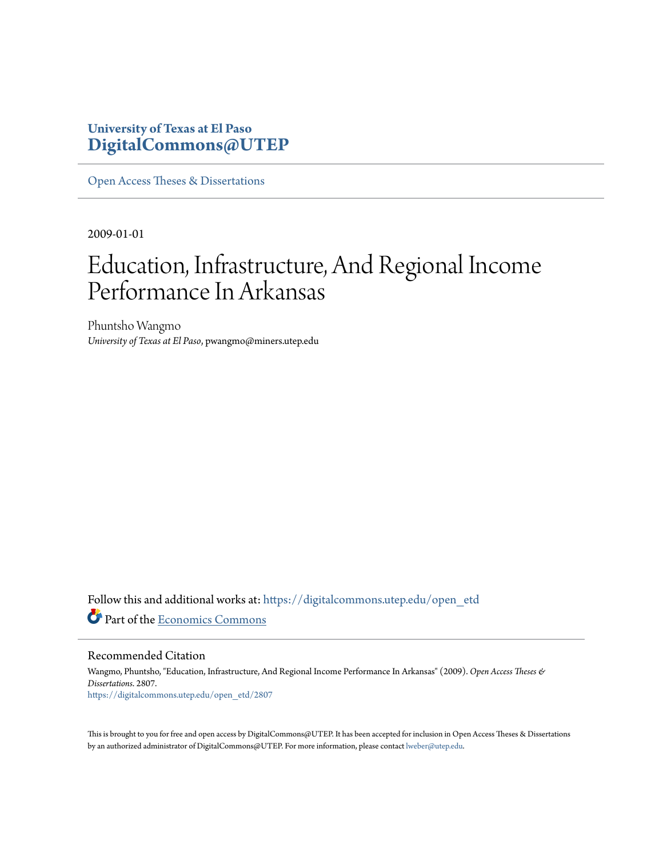# **University of Texas at El Paso [DigitalCommons@UTEP](https://digitalcommons.utep.edu/?utm_source=digitalcommons.utep.edu%2Fopen_etd%2F2807&utm_medium=PDF&utm_campaign=PDFCoverPages)**

[Open Access Theses & Dissertations](https://digitalcommons.utep.edu/open_etd?utm_source=digitalcommons.utep.edu%2Fopen_etd%2F2807&utm_medium=PDF&utm_campaign=PDFCoverPages)

2009-01-01

# Education, Infrastructure, And Regional Income Performance In Arkansas

Phuntsho Wangmo *University of Texas at El Paso*, pwangmo@miners.utep.edu

Follow this and additional works at: [https://digitalcommons.utep.edu/open\\_etd](https://digitalcommons.utep.edu/open_etd?utm_source=digitalcommons.utep.edu%2Fopen_etd%2F2807&utm_medium=PDF&utm_campaign=PDFCoverPages) Part of the [Economics Commons](http://network.bepress.com/hgg/discipline/340?utm_source=digitalcommons.utep.edu%2Fopen_etd%2F2807&utm_medium=PDF&utm_campaign=PDFCoverPages)

Recommended Citation

Wangmo, Phuntsho, "Education, Infrastructure, And Regional Income Performance In Arkansas" (2009). *Open Access Theses & Dissertations*. 2807. [https://digitalcommons.utep.edu/open\\_etd/2807](https://digitalcommons.utep.edu/open_etd/2807?utm_source=digitalcommons.utep.edu%2Fopen_etd%2F2807&utm_medium=PDF&utm_campaign=PDFCoverPages)

This is brought to you for free and open access by DigitalCommons@UTEP. It has been accepted for inclusion in Open Access Theses & Dissertations by an authorized administrator of DigitalCommons@UTEP. For more information, please contact [lweber@utep.edu.](mailto:lweber@utep.edu)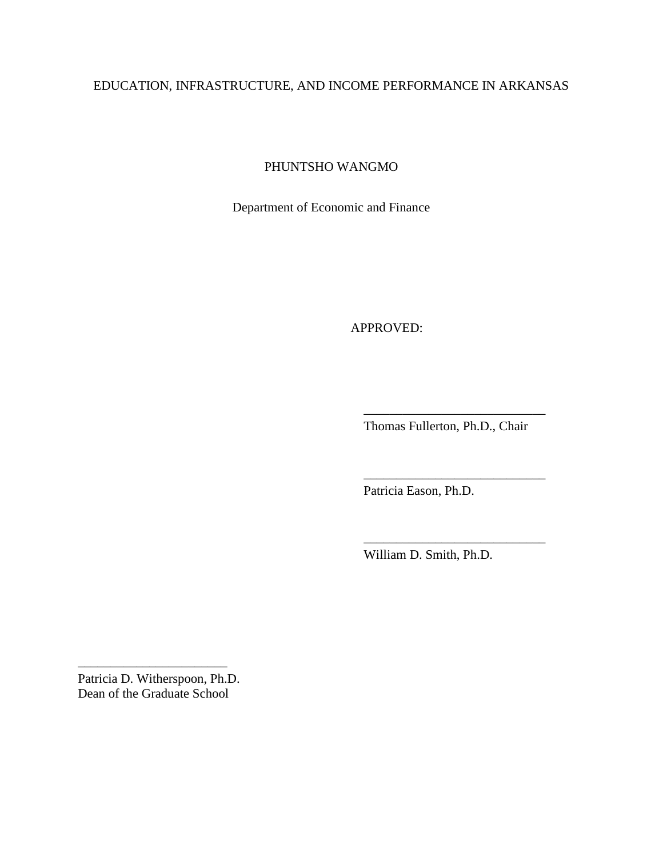# EDUCATION, INFRASTRUCTURE, AND INCOME PERFORMANCE IN ARKANSAS

PHUNTSHO WANGMO

Department of Economic and Finance

APPROVED:

Thomas Fullerton, Ph.D., Chair

\_\_\_\_\_\_\_\_\_\_\_\_\_\_\_\_\_\_\_\_\_\_\_\_\_\_\_\_

\_\_\_\_\_\_\_\_\_\_\_\_\_\_\_\_\_\_\_\_\_\_\_\_\_\_\_\_

\_\_\_\_\_\_\_\_\_\_\_\_\_\_\_\_\_\_\_\_\_\_\_\_\_\_\_\_

Patricia Eason, Ph.D.

William D. Smith, Ph.D.

\_\_\_\_\_\_\_\_\_\_\_\_\_\_\_\_\_\_\_\_\_\_\_

Patricia D. Witherspoon, Ph.D. Dean of the Graduate School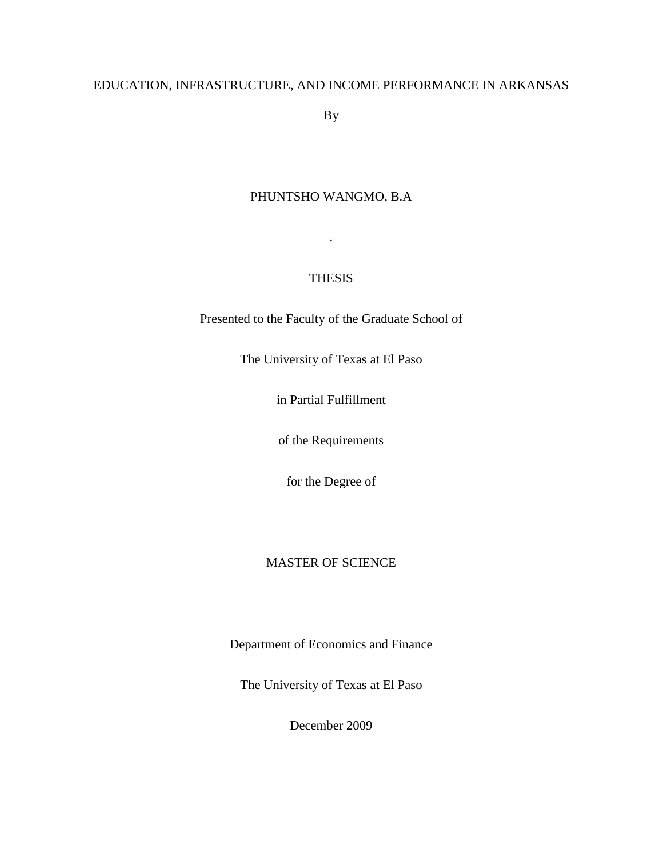# EDUCATION, INFRASTRUCTURE, AND INCOME PERFORMANCE IN ARKANSAS

By

## PHUNTSHO WANGMO, B.A

## THESIS

.

Presented to the Faculty of the Graduate School of

The University of Texas at El Paso

in Partial Fulfillment

of the Requirements

for the Degree of

## MASTER OF SCIENCE

Department of Economics and Finance

The University of Texas at El Paso

December 2009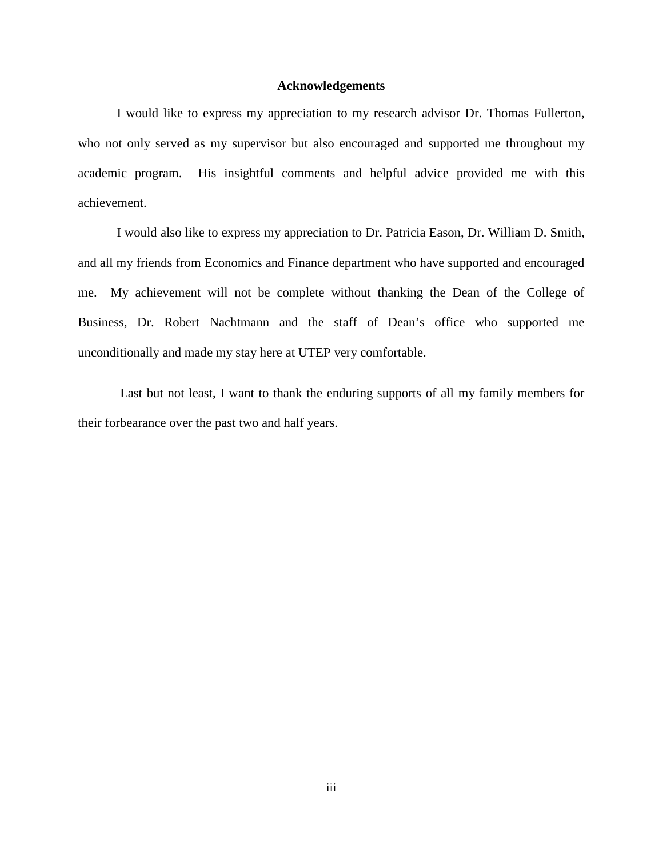#### **Acknowledgements**

I would like to express my appreciation to my research advisor Dr. Thomas Fullerton, who not only served as my supervisor but also encouraged and supported me throughout my academic program. His insightful comments and helpful advice provided me with this achievement.

I would also like to express my appreciation to Dr. Patricia Eason, Dr. William D. Smith, and all my friends from Economics and Finance department who have supported and encouraged me. My achievement will not be complete without thanking the Dean of the College of Business, Dr. Robert Nachtmann and the staff of Dean's office who supported me unconditionally and made my stay here at UTEP very comfortable.

Last but not least, I want to thank the enduring supports of all my family members for their forbearance over the past two and half years.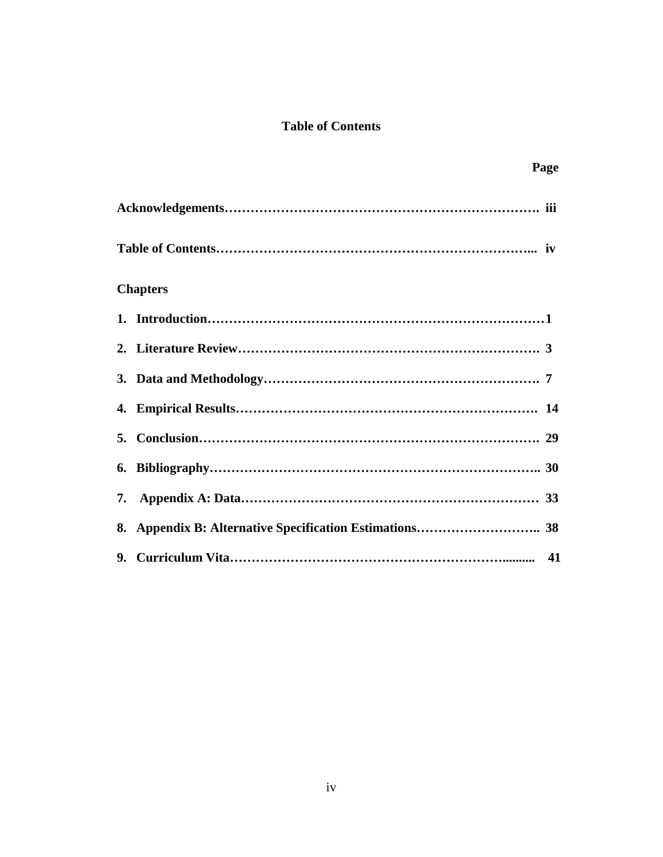# **Table of Contents**

|                 | Page |
|-----------------|------|
|                 |      |
|                 |      |
| <b>Chapters</b> |      |
|                 |      |
|                 |      |
|                 |      |
|                 |      |
|                 |      |
|                 |      |
|                 |      |
|                 |      |
|                 |      |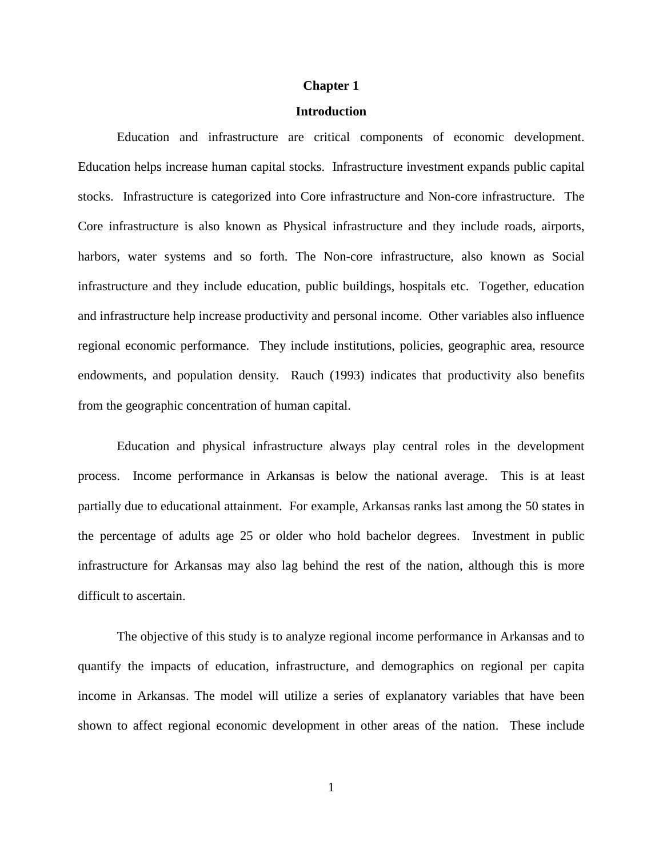#### **Chapter 1**

#### **Introduction**

Education and infrastructure are critical components of economic development. Education helps increase human capital stocks. Infrastructure investment expands public capital stocks. Infrastructure is categorized into Core infrastructure and Non-core infrastructure. The Core infrastructure is also known as Physical infrastructure and they include roads, airports, harbors, water systems and so forth. The Non-core infrastructure, also known as Social infrastructure and they include education, public buildings, hospitals etc. Together, education and infrastructure help increase productivity and personal income. Other variables also influence regional economic performance. They include institutions, policies, geographic area, resource endowments, and population density. Rauch (1993) indicates that productivity also benefits from the geographic concentration of human capital.

Education and physical infrastructure always play central roles in the development process. Income performance in Arkansas is below the national average. This is at least partially due to educational attainment. For example, Arkansas ranks last among the 50 states in the percentage of adults age 25 or older who hold bachelor degrees. Investment in public infrastructure for Arkansas may also lag behind the rest of the nation, although this is more difficult to ascertain.

The objective of this study is to analyze regional income performance in Arkansas and to quantify the impacts of education, infrastructure, and demographics on regional per capita income in Arkansas. The model will utilize a series of explanatory variables that have been shown to affect regional economic development in other areas of the nation. These include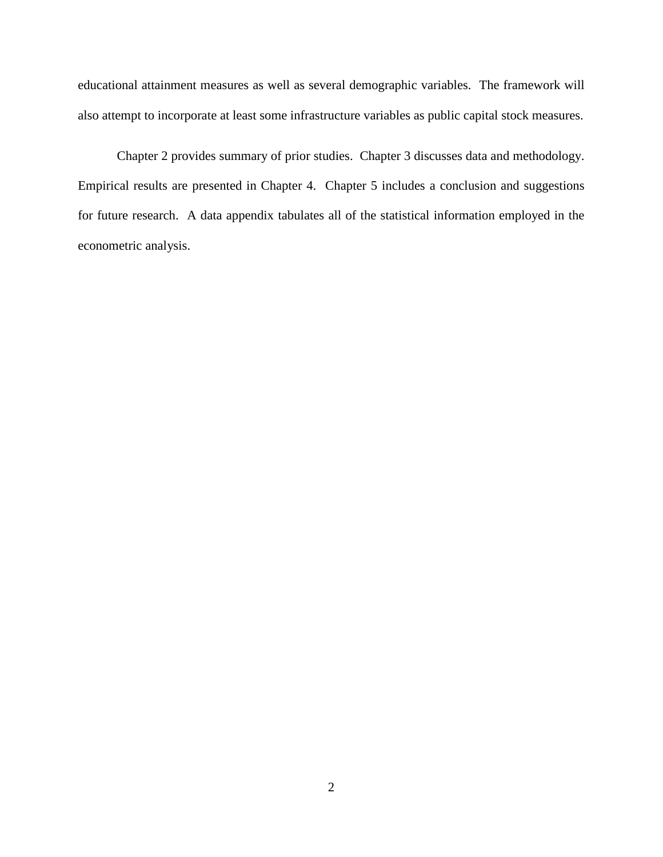educational attainment measures as well as several demographic variables. The framework will also attempt to incorporate at least some infrastructure variables as public capital stock measures.

Chapter 2 provides summary of prior studies. Chapter 3 discusses data and methodology. Empirical results are presented in Chapter 4. Chapter 5 includes a conclusion and suggestions for future research. A data appendix tabulates all of the statistical information employed in the econometric analysis.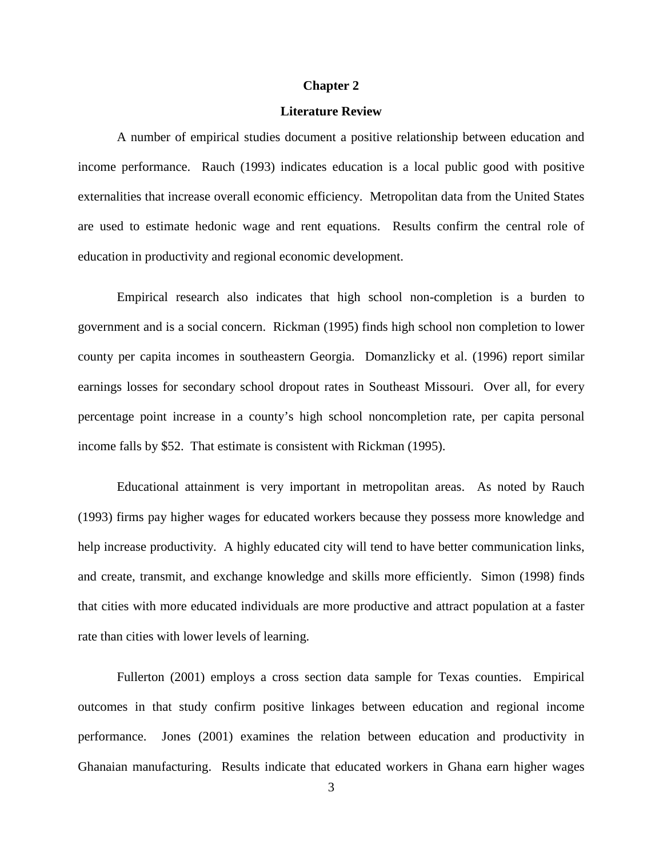#### **Chapter 2**

#### **Literature Review**

A number of empirical studies document a positive relationship between education and income performance. Rauch (1993) indicates education is a local public good with positive externalities that increase overall economic efficiency. Metropolitan data from the United States are used to estimate hedonic wage and rent equations. Results confirm the central role of education in productivity and regional economic development.

Empirical research also indicates that high school non-completion is a burden to government and is a social concern. Rickman (1995) finds high school non completion to lower county per capita incomes in southeastern Georgia. Domanzlicky et al. (1996) report similar earnings losses for secondary school dropout rates in Southeast Missouri. Over all, for every percentage point increase in a county's high school noncompletion rate, per capita personal income falls by \$52. That estimate is consistent with Rickman (1995).

Educational attainment is very important in metropolitan areas. As noted by Rauch (1993) firms pay higher wages for educated workers because they possess more knowledge and help increase productivity. A highly educated city will tend to have better communication links, and create, transmit, and exchange knowledge and skills more efficiently. Simon (1998) finds that cities with more educated individuals are more productive and attract population at a faster rate than cities with lower levels of learning.

Fullerton (2001) employs a cross section data sample for Texas counties. Empirical outcomes in that study confirm positive linkages between education and regional income performance. Jones (2001) examines the relation between education and productivity in Ghanaian manufacturing. Results indicate that educated workers in Ghana earn higher wages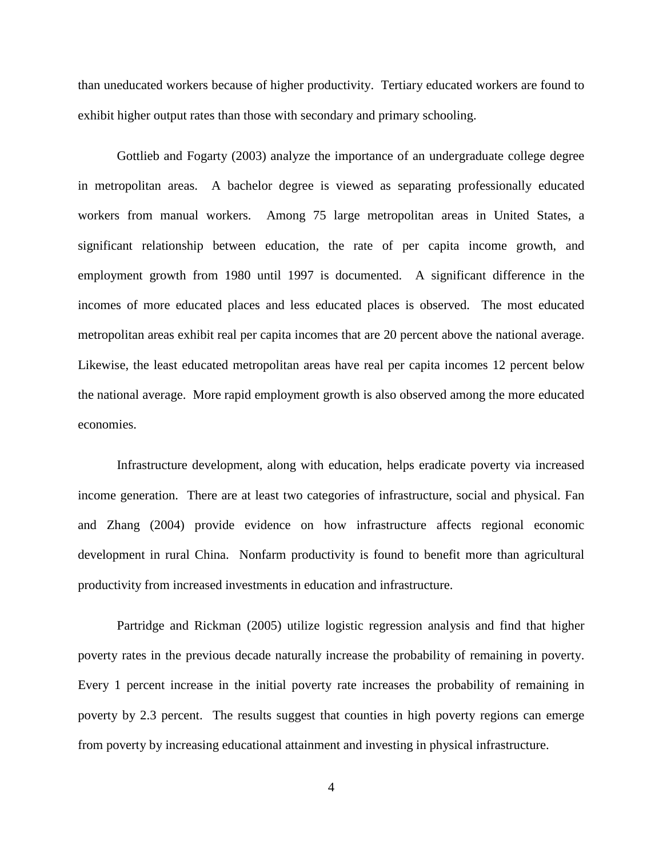than uneducated workers because of higher productivity. Tertiary educated workers are found to exhibit higher output rates than those with secondary and primary schooling.

Gottlieb and Fogarty (2003) analyze the importance of an undergraduate college degree in metropolitan areas. A bachelor degree is viewed as separating professionally educated workers from manual workers. Among 75 large metropolitan areas in United States, a significant relationship between education, the rate of per capita income growth, and employment growth from 1980 until 1997 is documented. A significant difference in the incomes of more educated places and less educated places is observed. The most educated metropolitan areas exhibit real per capita incomes that are 20 percent above the national average. Likewise, the least educated metropolitan areas have real per capita incomes 12 percent below the national average. More rapid employment growth is also observed among the more educated economies.

Infrastructure development, along with education, helps eradicate poverty via increased income generation. There are at least two categories of infrastructure, social and physical. Fan and Zhang (2004) provide evidence on how infrastructure affects regional economic development in rural China. Nonfarm productivity is found to benefit more than agricultural productivity from increased investments in education and infrastructure.

Partridge and Rickman (2005) utilize logistic regression analysis and find that higher poverty rates in the previous decade naturally increase the probability of remaining in poverty. Every 1 percent increase in the initial poverty rate increases the probability of remaining in poverty by 2.3 percent. The results suggest that counties in high poverty regions can emerge from poverty by increasing educational attainment and investing in physical infrastructure.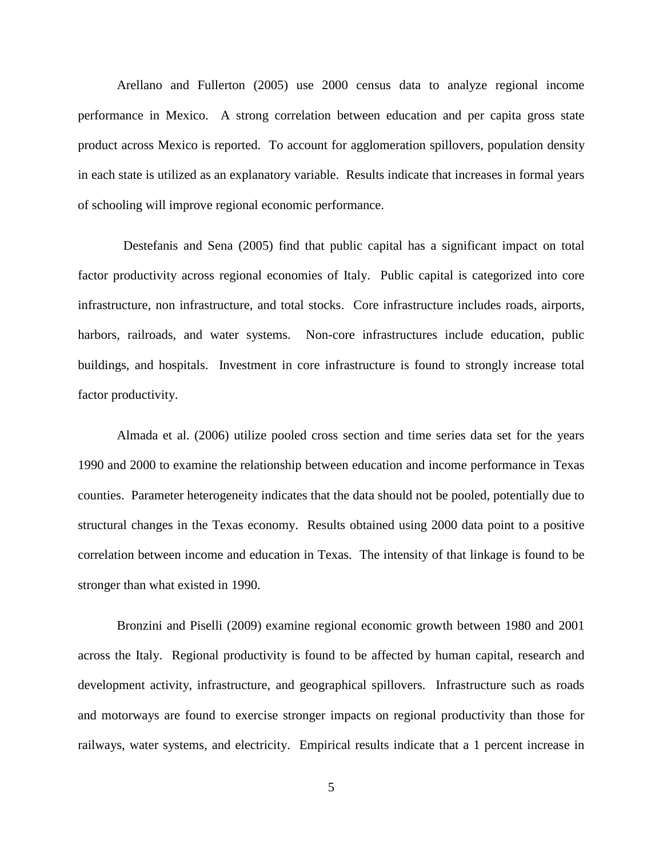Arellano and Fullerton (2005) use 2000 census data to analyze regional income performance in Mexico. A strong correlation between education and per capita gross state product across Mexico is reported. To account for agglomeration spillovers, population density in each state is utilized as an explanatory variable. Results indicate that increases in formal years of schooling will improve regional economic performance.

 Destefanis and Sena (2005) find that public capital has a significant impact on total factor productivity across regional economies of Italy. Public capital is categorized into core infrastructure, non infrastructure, and total stocks. Core infrastructure includes roads, airports, harbors, railroads, and water systems. Non-core infrastructures include education, public buildings, and hospitals. Investment in core infrastructure is found to strongly increase total factor productivity.

Almada et al. (2006) utilize pooled cross section and time series data set for the years 1990 and 2000 to examine the relationship between education and income performance in Texas counties. Parameter heterogeneity indicates that the data should not be pooled, potentially due to structural changes in the Texas economy. Results obtained using 2000 data point to a positive correlation between income and education in Texas. The intensity of that linkage is found to be stronger than what existed in 1990.

Bronzini and Piselli (2009) examine regional economic growth between 1980 and 2001 across the Italy. Regional productivity is found to be affected by human capital, research and development activity, infrastructure, and geographical spillovers. Infrastructure such as roads and motorways are found to exercise stronger impacts on regional productivity than those for railways, water systems, and electricity. Empirical results indicate that a 1 percent increase in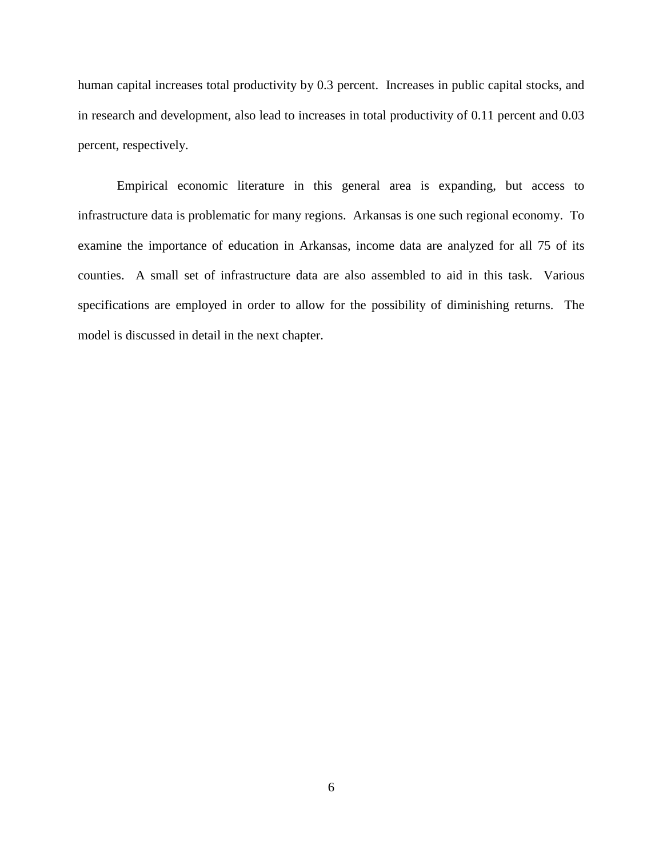human capital increases total productivity by 0.3 percent. Increases in public capital stocks, and in research and development, also lead to increases in total productivity of 0.11 percent and 0.03 percent, respectively.

Empirical economic literature in this general area is expanding, but access to infrastructure data is problematic for many regions. Arkansas is one such regional economy. To examine the importance of education in Arkansas, income data are analyzed for all 75 of its counties. A small set of infrastructure data are also assembled to aid in this task. Various specifications are employed in order to allow for the possibility of diminishing returns. The model is discussed in detail in the next chapter.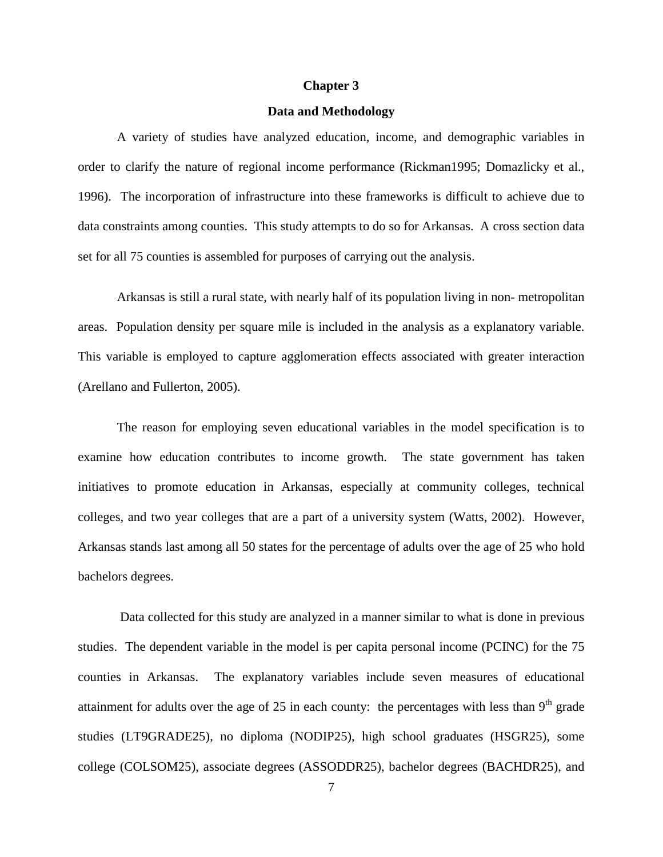#### **Chapter 3**

#### **Data and Methodology**

A variety of studies have analyzed education, income, and demographic variables in order to clarify the nature of regional income performance (Rickman1995; Domazlicky et al., 1996). The incorporation of infrastructure into these frameworks is difficult to achieve due to data constraints among counties. This study attempts to do so for Arkansas. A cross section data set for all 75 counties is assembled for purposes of carrying out the analysis.

Arkansas is still a rural state, with nearly half of its population living in non- metropolitan areas. Population density per square mile is included in the analysis as a explanatory variable. This variable is employed to capture agglomeration effects associated with greater interaction (Arellano and Fullerton, 2005).

The reason for employing seven educational variables in the model specification is to examine how education contributes to income growth. The state government has taken initiatives to promote education in Arkansas, especially at community colleges, technical colleges, and two year colleges that are a part of a university system (Watts, 2002). However, Arkansas stands last among all 50 states for the percentage of adults over the age of 25 who hold bachelors degrees.

Data collected for this study are analyzed in a manner similar to what is done in previous studies. The dependent variable in the model is per capita personal income (PCINC) for the 75 counties in Arkansas. The explanatory variables include seven measures of educational attainment for adults over the age of 25 in each county: the percentages with less than  $9<sup>th</sup>$  grade studies (LT9GRADE25), no diploma (NODIP25), high school graduates (HSGR25), some college (COLSOM25), associate degrees (ASSODDR25), bachelor degrees (BACHDR25), and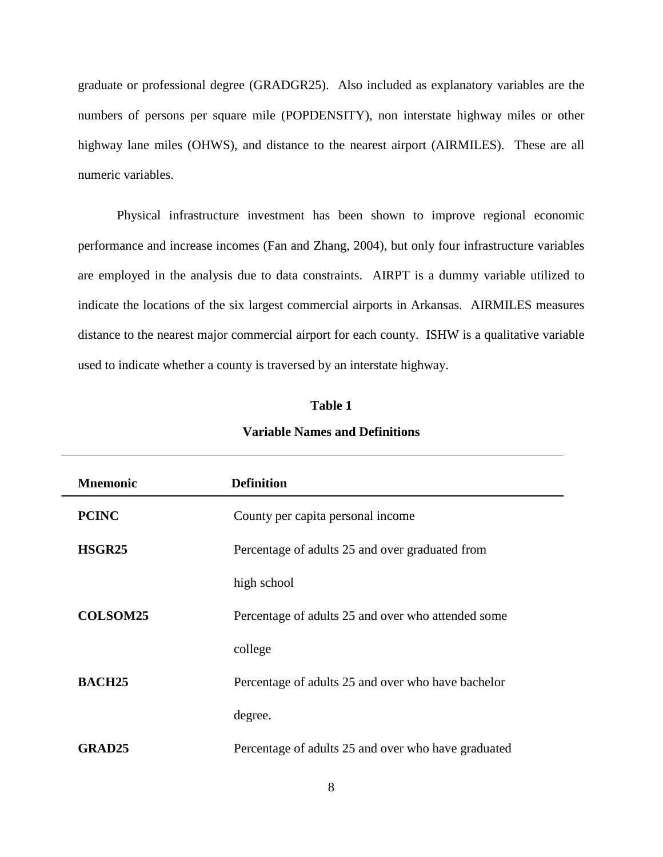graduate or professional degree (GRADGR25). Also included as explanatory variables are the numbers of persons per square mile (POPDENSITY), non interstate highway miles or other highway lane miles (OHWS), and distance to the nearest airport (AIRMILES). These are all numeric variables.

Physical infrastructure investment has been shown to improve regional economic performance and increase incomes (Fan and Zhang, 2004), but only four infrastructure variables are employed in the analysis due to data constraints. AIRPT is a dummy variable utilized to indicate the locations of the six largest commercial airports in Arkansas. AIRMILES measures distance to the nearest major commercial airport for each county. ISHW is a qualitative variable used to indicate whether a county is traversed by an interstate highway.

## **Table 1**

| <b>Mnemonic</b>    | <b>Definition</b>                                   |
|--------------------|-----------------------------------------------------|
| <b>PCINC</b>       | County per capita personal income                   |
| HSGR <sub>25</sub> | Percentage of adults 25 and over graduated from     |
|                    | high school                                         |
| <b>COLSOM25</b>    | Percentage of adults 25 and over who attended some  |
|                    | college                                             |
| <b>BACH25</b>      | Percentage of adults 25 and over who have bachelor  |
|                    | degree.                                             |
| GRAD25             | Percentage of adults 25 and over who have graduated |

### **Variable Names and Definitions**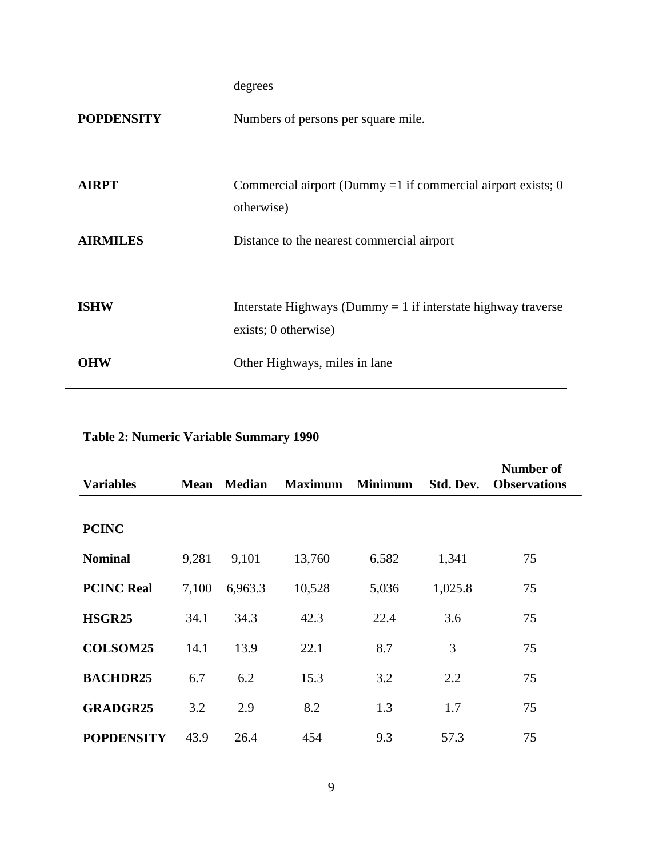degrees

| <b>POPDENSITY</b> | Numbers of persons per square mile.                                                     |
|-------------------|-----------------------------------------------------------------------------------------|
| AIRPT             | Commercial airport (Dummy = 1 if commercial airport exists; 0<br>otherwise)             |
| <b>AIRMILES</b>   | Distance to the nearest commercial airport                                              |
| ISHW              | Interstate Highways (Dummy $= 1$ if interstate highway traverse<br>exists; 0 otherwise) |
| OHW               | Other Highways, miles in lane                                                           |
|                   |                                                                                         |

| <b>Variables</b>  | <b>Mean</b> | <b>Median</b> | <b>Maximum</b> | <b>Minimum</b> | Std. Dev. | Number of<br><b>Observations</b> |
|-------------------|-------------|---------------|----------------|----------------|-----------|----------------------------------|
| <b>PCINC</b>      |             |               |                |                |           |                                  |
| <b>Nominal</b>    | 9,281       | 9,101         | 13,760         | 6,582          | 1,341     | 75                               |
| <b>PCINC Real</b> | 7,100       | 6,963.3       | 10,528         | 5,036          | 1,025.8   | 75                               |
| <b>HSGR25</b>     | 34.1        | 34.3          | 42.3           | 22.4           | 3.6       | 75                               |
| <b>COLSOM25</b>   | 14.1        | 13.9          | 22.1           | 8.7            | 3         | 75                               |
| <b>BACHDR25</b>   | 6.7         | 6.2           | 15.3           | 3.2            | 2.2       | 75                               |
| <b>GRADGR25</b>   | 3.2         | 2.9           | 8.2            | 1.3            | 1.7       | 75                               |
| <b>POPDENSITY</b> | 43.9        | 26.4          | 454            | 9.3            | 57.3      | 75                               |

# **Table 2: Numeric Variable Summary 1990**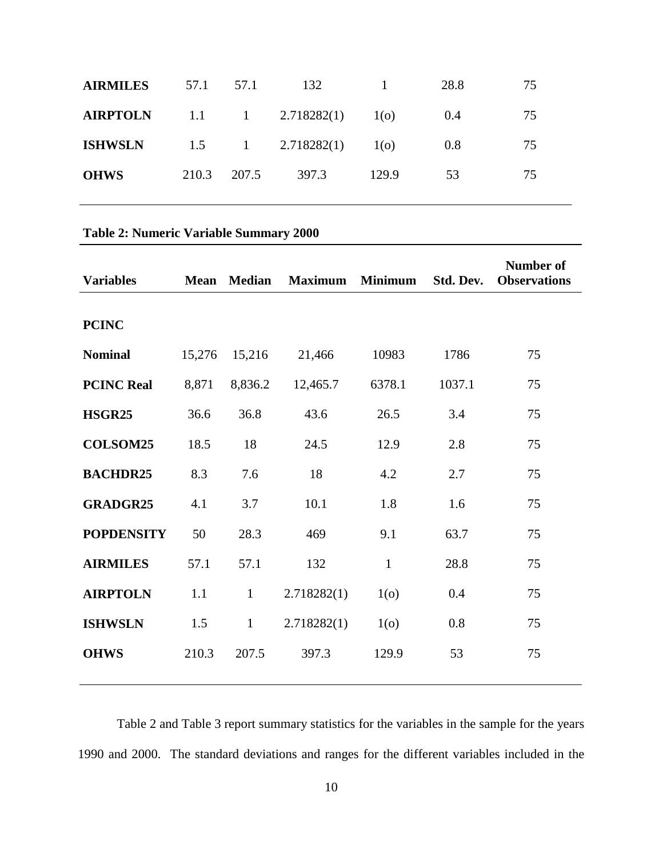| 57.1  | 57.1 | 132   | $\blacksquare$                                         | 28.8 | 75 |
|-------|------|-------|--------------------------------------------------------|------|----|
|       |      |       | 1 <sub>0</sub>                                         | 0.4  | 75 |
|       |      |       | 1 <sub>0</sub>                                         | 0.8  | 75 |
| 210.3 |      | 397.3 | 129.9                                                  | 53   | 75 |
|       |      | 207.5 | 1.1 1 2.718282(1)<br>$1.5 \qquad 1 \qquad 2.718282(1)$ |      |    |

# **Table 2: Numeric Variable Summary 2000**

| <b>Variables</b>  | <b>Mean</b> | <b>Median</b> | <b>Maximum</b> | <b>Minimum</b> | Std. Dev. | <b>Number of</b><br><b>Observations</b> |
|-------------------|-------------|---------------|----------------|----------------|-----------|-----------------------------------------|
| <b>PCINC</b>      |             |               |                |                |           |                                         |
| <b>Nominal</b>    | 15,276      | 15,216        | 21,466         | 10983          | 1786      | 75                                      |
| <b>PCINC Real</b> | 8,871       | 8,836.2       | 12,465.7       | 6378.1         | 1037.1    | 75                                      |
| <b>HSGR25</b>     | 36.6        | 36.8          | 43.6           | 26.5           | 3.4       | 75                                      |
| <b>COLSOM25</b>   | 18.5        | 18            | 24.5           | 12.9           | 2.8       | 75                                      |
| <b>BACHDR25</b>   | 8.3         | 7.6           | 18             | 4.2            | 2.7       | 75                                      |
| <b>GRADGR25</b>   | 4.1         | 3.7           | 10.1           | 1.8            | 1.6       | 75                                      |
| <b>POPDENSITY</b> | 50          | 28.3          | 469            | 9.1            | 63.7      | 75                                      |
| <b>AIRMILES</b>   | 57.1        | 57.1          | 132            | $\mathbf{1}$   | 28.8      | 75                                      |
| <b>AIRPTOLN</b>   | 1.1         | $\mathbf{1}$  | 2.718282(1)    | 1 <sub>0</sub> | 0.4       | 75                                      |
| <b>ISHWSLN</b>    | 1.5         | $\mathbf{1}$  | 2.718282(1)    | 1 <sub>0</sub> | 0.8       | 75                                      |
| <b>OHWS</b>       | 210.3       | 207.5         | 397.3          | 129.9          | 53        | 75                                      |
|                   |             |               |                |                |           |                                         |

Table 2 and Table 3 report summary statistics for the variables in the sample for the years 1990 and 2000. The standard deviations and ranges for the different variables included in the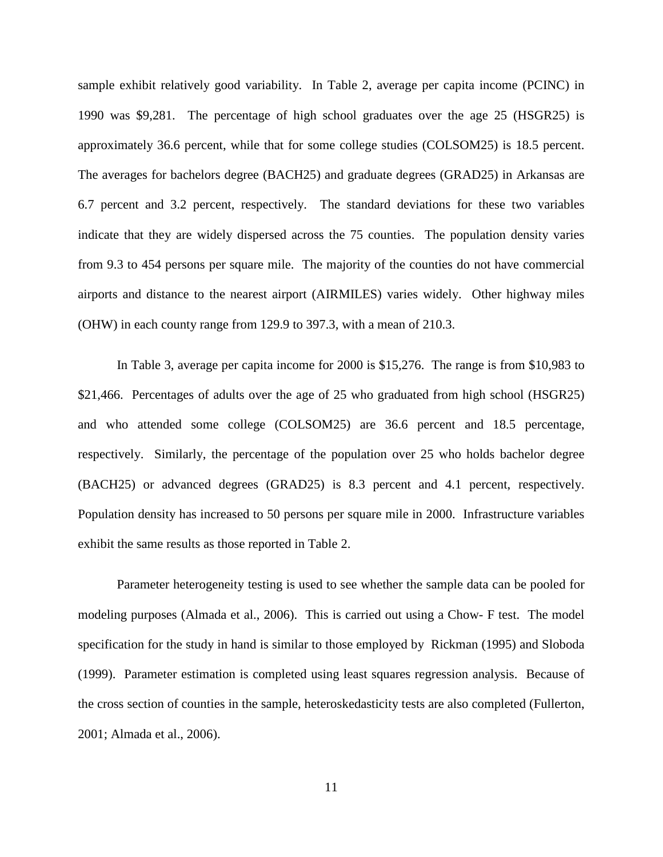sample exhibit relatively good variability. In Table 2, average per capita income (PCINC) in 1990 was \$9,281. The percentage of high school graduates over the age 25 (HSGR25) is approximately 36.6 percent, while that for some college studies (COLSOM25) is 18.5 percent. The averages for bachelors degree (BACH25) and graduate degrees (GRAD25) in Arkansas are 6.7 percent and 3.2 percent, respectively. The standard deviations for these two variables indicate that they are widely dispersed across the 75 counties. The population density varies from 9.3 to 454 persons per square mile. The majority of the counties do not have commercial airports and distance to the nearest airport (AIRMILES) varies widely. Other highway miles (OHW) in each county range from 129.9 to 397.3, with a mean of 210.3.

In Table 3, average per capita income for 2000 is \$15,276. The range is from \$10,983 to \$21,466. Percentages of adults over the age of 25 who graduated from high school (HSGR25) and who attended some college (COLSOM25) are 36.6 percent and 18.5 percentage, respectively. Similarly, the percentage of the population over 25 who holds bachelor degree (BACH25) or advanced degrees (GRAD25) is 8.3 percent and 4.1 percent, respectively. Population density has increased to 50 persons per square mile in 2000. Infrastructure variables exhibit the same results as those reported in Table 2.

Parameter heterogeneity testing is used to see whether the sample data can be pooled for modeling purposes (Almada et al., 2006). This is carried out using a Chow- F test. The model specification for the study in hand is similar to those employed by Rickman (1995) and Sloboda (1999). Parameter estimation is completed using least squares regression analysis. Because of the cross section of counties in the sample, heteroskedasticity tests are also completed (Fullerton, 2001; Almada et al., 2006).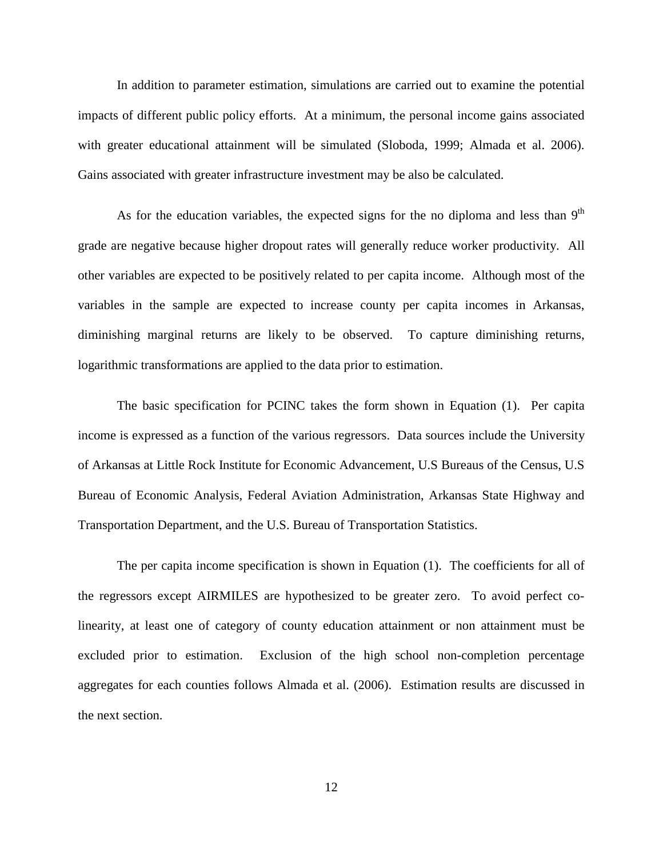In addition to parameter estimation, simulations are carried out to examine the potential impacts of different public policy efforts. At a minimum, the personal income gains associated with greater educational attainment will be simulated (Sloboda, 1999; Almada et al. 2006). Gains associated with greater infrastructure investment may be also be calculated.

As for the education variables, the expected signs for the no diploma and less than  $9<sup>th</sup>$ grade are negative because higher dropout rates will generally reduce worker productivity. All other variables are expected to be positively related to per capita income. Although most of the variables in the sample are expected to increase county per capita incomes in Arkansas, diminishing marginal returns are likely to be observed. To capture diminishing returns, logarithmic transformations are applied to the data prior to estimation.

The basic specification for PCINC takes the form shown in Equation (1). Per capita income is expressed as a function of the various regressors. Data sources include the University of Arkansas at Little Rock Institute for Economic Advancement, U.S Bureaus of the Census, U.S Bureau of Economic Analysis, Federal Aviation Administration, Arkansas State Highway and Transportation Department, and the U.S. Bureau of Transportation Statistics.

The per capita income specification is shown in Equation (1). The coefficients for all of the regressors except AIRMILES are hypothesized to be greater zero. To avoid perfect colinearity, at least one of category of county education attainment or non attainment must be excluded prior to estimation. Exclusion of the high school non-completion percentage aggregates for each counties follows Almada et al. (2006). Estimation results are discussed in the next section.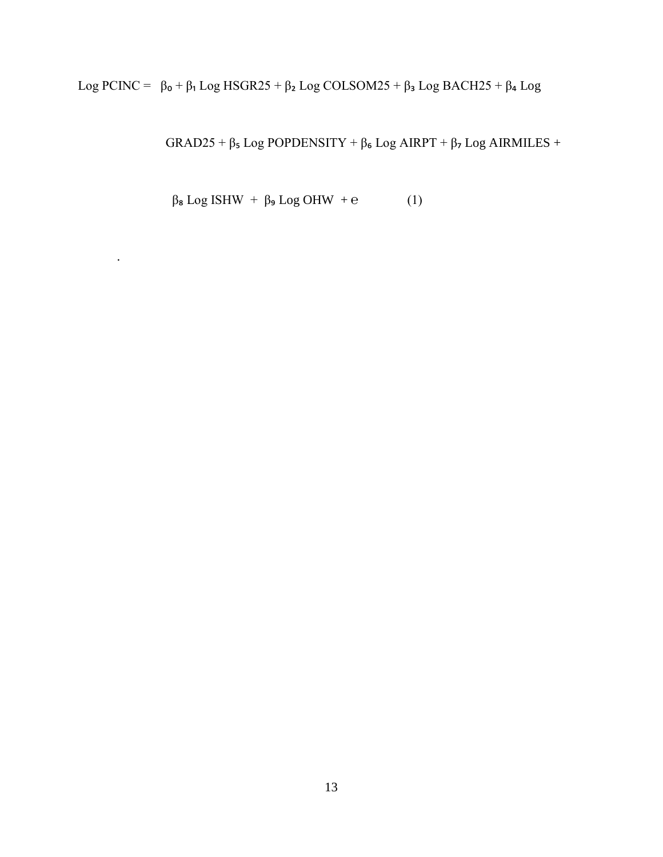Log PCINC =  $β_0 + β_1 Log HSGR25 + β_2 Log COLSOM25 + β_3 Log BACH25 + β_4 Log$ 

GRAD25 + β Log POPDENSITY + β Log AIRPT + β Log AIRMILES +

 $β$ <sub>8</sub> Log ISHW +  $β$ <sub>9</sub> Log OHW + e (1)

.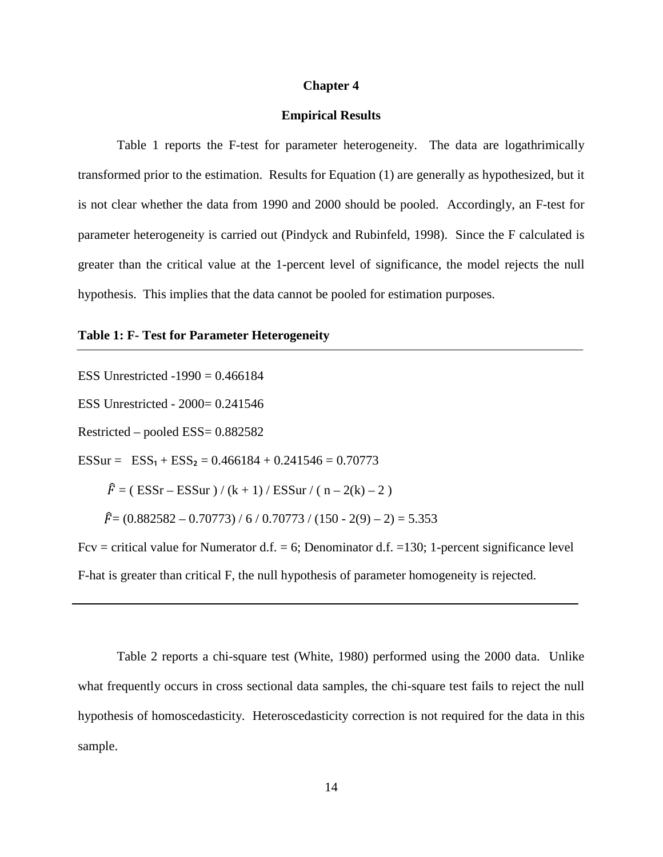#### **Chapter 4**

#### **Empirical Results**

Table 1 reports the F-test for parameter heterogeneity. The data are logathrimically transformed prior to the estimation. Results for Equation (1) are generally as hypothesized, but it is not clear whether the data from 1990 and 2000 should be pooled. Accordingly, an F-test for parameter heterogeneity is carried out (Pindyck and Rubinfeld, 1998). Since the F calculated is greater than the critical value at the 1-percent level of significance, the model rejects the null hypothesis. This implies that the data cannot be pooled for estimation purposes.

#### **Table 1: F- Test for Parameter Heterogeneity**

ESS Unrestricted  $-1990 = 0.466184$ ESS Unrestricted - 2000= 0.241546 Restricted – pooled ESS= 0.882582 ESSur =  $ESS_1 + ESS_2 = 0.466184 + 0.241546 = 0.70773$  $\hat{F} = (ESSr - ESSur) / (k + 1) / ESSur / (n - 2(k) - 2)$  $\hat{F} = (0.882582 - 0.70773) / 6 / 0.70773 / (150 - 2(9) - 2) = 5.353$ Fcv = critical value for Numerator d.f. = 6; Denominator d.f. = 130; 1-percent significance level F-hat is greater than critical F, the null hypothesis of parameter homogeneity is rejected.

Table 2 reports a chi-square test (White, 1980) performed using the 2000 data. Unlike what frequently occurs in cross sectional data samples, the chi-square test fails to reject the null hypothesis of homoscedasticity. Heteroscedasticity correction is not required for the data in this sample.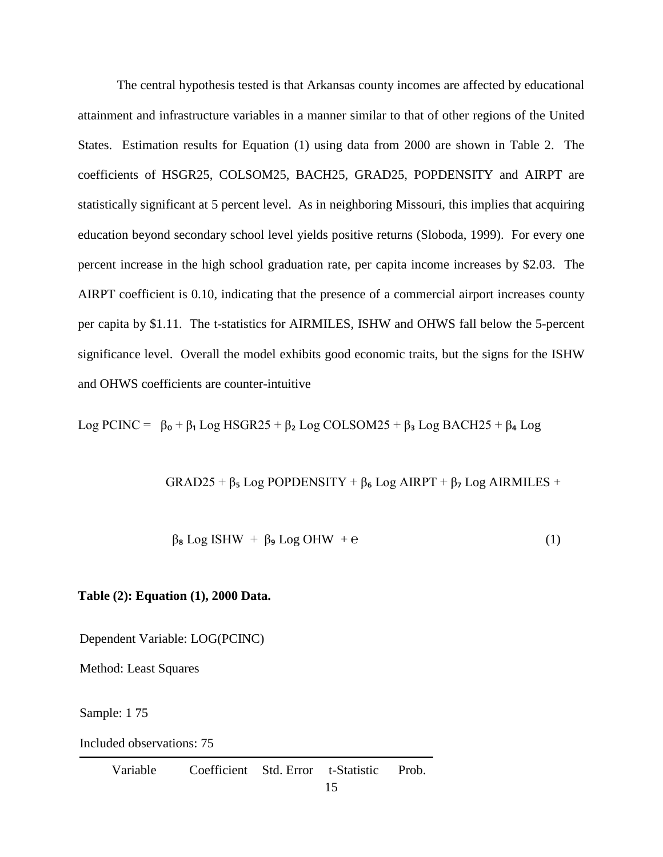The central hypothesis tested is that Arkansas county incomes are affected by educational attainment and infrastructure variables in a manner similar to that of other regions of the United States. Estimation results for Equation (1) using data from 2000 are shown in Table 2. The coefficients of HSGR25, COLSOM25, BACH25, GRAD25, POPDENSITY and AIRPT are statistically significant at 5 percent level. As in neighboring Missouri, this implies that acquiring education beyond secondary school level yields positive returns (Sloboda, 1999). For every one percent increase in the high school graduation rate, per capita income increases by \$2.03. The AIRPT coefficient is 0.10, indicating that the presence of a commercial airport increases county per capita by \$1.11. The t-statistics for AIRMILES, ISHW and OHWS fall below the 5-percent significance level. Overall the model exhibits good economic traits, but the signs for the ISHW and OHWS coefficients are counter-intuitive

Log PCINC =  $\beta_0 + \beta_1$  Log HSGR25 +  $\beta_2$  Log COLSOM25 +  $\beta_3$  Log BACH25 +  $\beta_4$  Log

 $GRAD25 + \beta_5 Log POPDENSITY + \beta_6 Log AIRPT + \beta_7 Log AIRMILES +$ 

$$
\beta_{\mathbf{8}} \text{Log ISHW} + \beta_{\mathbf{9}} \text{Log OHW} + e \tag{1}
$$

## **Table (2): Equation (1), 2000 Data.**

Dependent Variable: LOG(PCINC)

Method: Least Squares

Sample: 1 75

Included observations: 75

Variable Coefficient Std. Error t-Statistic Prob.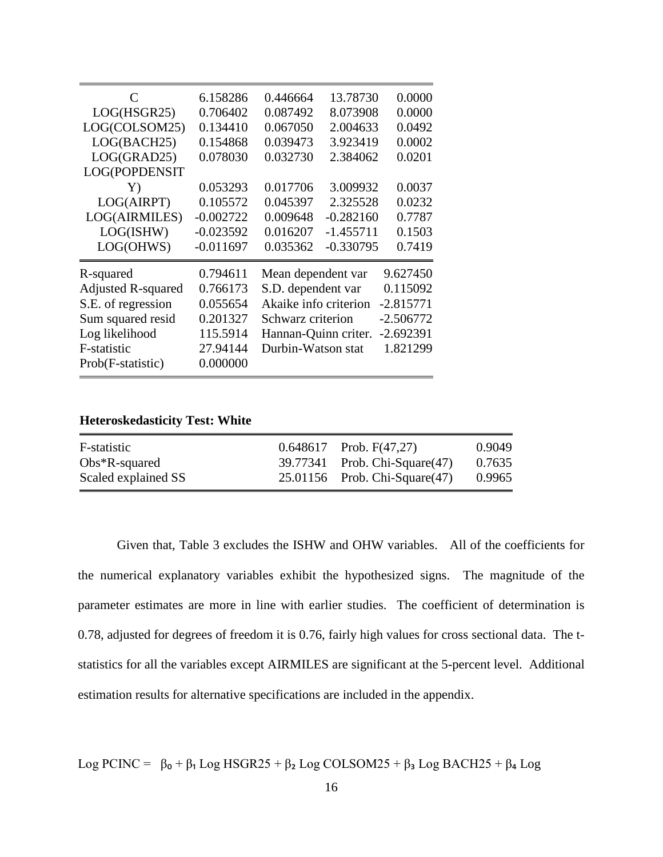| C                         | 6.158286    | 0.446664              | 13.78730    | 0.0000      |
|---------------------------|-------------|-----------------------|-------------|-------------|
| LOG(HSGR25)               | 0.706402    | 0.087492              | 8.073908    | 0.0000      |
| LOG(COLSOM25)             | 0.134410    | 0.067050              | 2.004633    | 0.0492      |
| LOG(BACH25)               | 0.154868    | 0.039473              | 3.923419    | 0.0002      |
| LOG(GRAD25)               | 0.078030    | 0.032730              | 2.384062    | 0.0201      |
| LOG(POPDENSIT             |             |                       |             |             |
| Y)                        | 0.053293    | 0.017706              | 3.009932    | 0.0037      |
| LOG(AIRPT)                | 0.105572    | 0.045397              | 2.325528    | 0.0232      |
| LOG(AIRMILES)             | $-0.002722$ | 0.009648              | $-0.282160$ | 0.7787      |
| LOG(ISHW)                 | $-0.023592$ | 0.016207              | $-1.455711$ | 0.1503      |
| LOG(OHWS)                 | $-0.011697$ | 0.035362              | $-0.330795$ | 0.7419      |
| R-squared                 | 0.794611    | Mean dependent var    |             | 9.627450    |
| <b>Adjusted R-squared</b> | 0.766173    | S.D. dependent var    |             | 0.115092    |
| S.E. of regression        | 0.055654    | Akaike info criterion |             | $-2.815771$ |
| Sum squared resid         | 0.201327    | Schwarz criterion     |             | $-2.506772$ |
| Log likelihood            | 115.5914    | Hannan-Quinn criter.  |             | $-2.692391$ |
| F-statistic               | 27.94144    | Durbin-Watson stat    |             | 1.821299    |
| Prob(F-statistic)         | 0.000000    |                       |             |             |
|                           |             |                       |             |             |

**Heteroskedasticity Test: White**

| F-statistic         | $0.648617$ Prob. F(47,27)          | 0.9049 |
|---------------------|------------------------------------|--------|
| $Obs*R$ -squared    | 39.77341 Prob. Chi-Square(47)      | 0.7635 |
| Scaled explained SS | $25.01156$ Prob. Chi-Square $(47)$ | 0.9965 |

Given that, Table 3 excludes the ISHW and OHW variables. All of the coefficients for the numerical explanatory variables exhibit the hypothesized signs. The magnitude of the parameter estimates are more in line with earlier studies. The coefficient of determination is 0.78, adjusted for degrees of freedom it is 0.76, fairly high values for cross sectional data. The tstatistics for all the variables except AIRMILES are significant at the 5-percent level. Additional estimation results for alternative specifications are included in the appendix.

$$
Log PCINC = \beta_0 + \beta_1 Log HSGR25 + \beta_2 Log COLSOM25 + \beta_3 Log BACH25 + \beta_4 Log
$$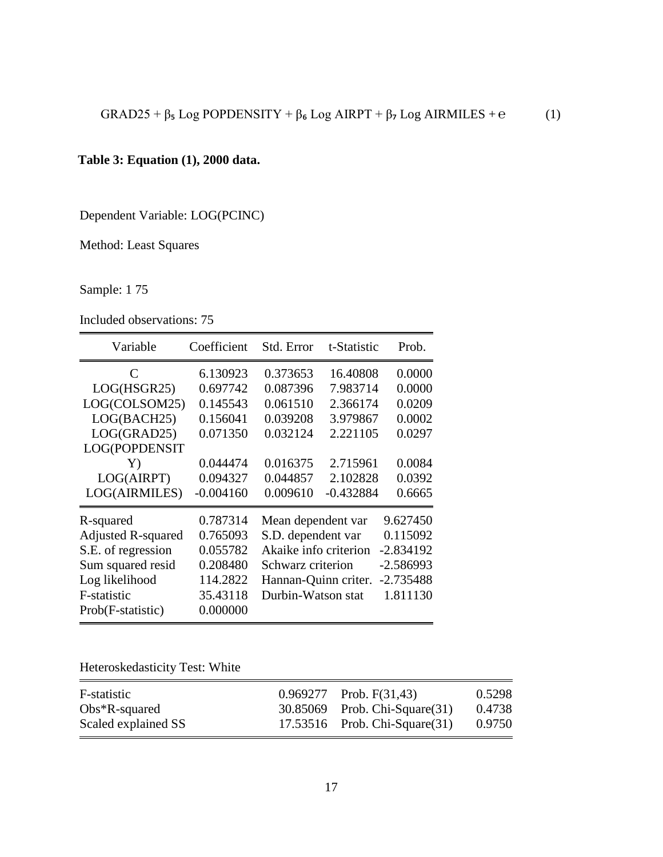# **Table 3: Equation (1), 2000 data.**

Dependent Variable: LOG(PCINC)

Method: Least Squares

Sample: 1 75

Included observations: 75

| Variable                  | Coefficient | Std. Error            | t-Statistic | Prob.       |
|---------------------------|-------------|-----------------------|-------------|-------------|
| C                         | 6.130923    | 0.373653              | 16.40808    | 0.0000      |
| LOG(HSGR25)               | 0.697742    | 0.087396              | 7.983714    | 0.0000      |
| LOG(COLSOM25)             | 0.145543    | 0.061510              | 2.366174    | 0.0209      |
| LOG(BACH25)               | 0.156041    | 0.039208              | 3.979867    | 0.0002      |
| LOG(GRAD25)               | 0.071350    | 0.032124              | 2.221105    | 0.0297      |
| LOG(POPDENSIT             |             |                       |             |             |
| Y)                        | 0.044474    | 0.016375              | 2.715961    | 0.0084      |
| LOG(AIRPT)                | 0.094327    | 0.044857              | 2.102828    | 0.0392      |
| LOG(AIRMILES)             | $-0.004160$ | 0.009610              | $-0.432884$ | 0.6665      |
| R-squared                 | 0.787314    | Mean dependent var    |             | 9.627450    |
| <b>Adjusted R-squared</b> | 0.765093    | S.D. dependent var    |             | 0.115092    |
| S.E. of regression        | 0.055782    | Akaike info criterion |             | $-2.834192$ |
| Sum squared resid         | 0.208480    | Schwarz criterion     |             | $-2.586993$ |
| Log likelihood            | 114.2822    | Hannan-Quinn criter.  |             | $-2.735488$ |
| F-statistic               | 35.43118    | Durbin-Watson stat    |             | 1.811130    |
| Prob(F-statistic)         | 0.000000    |                       |             |             |

Heteroskedasticity Test: White

| F-statistic         | $0.969277$ Prob. F(31,43)          | 0.5298 |
|---------------------|------------------------------------|--------|
| $Obs*R$ -squared    | 30.85069 Prob. Chi-Square(31)      | 0.4738 |
| Scaled explained SS | $17.53516$ Prob. Chi-Square $(31)$ | 0.9750 |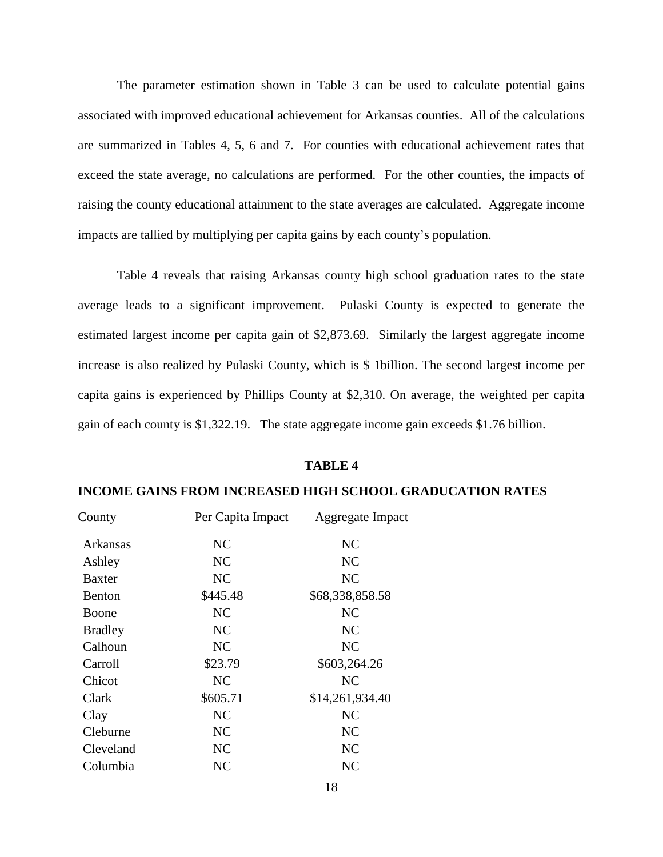The parameter estimation shown in Table 3 can be used to calculate potential gains associated with improved educational achievement for Arkansas counties. All of the calculations are summarized in Tables 4, 5, 6 and 7. For counties with educational achievement rates that exceed the state average, no calculations are performed. For the other counties, the impacts of raising the county educational attainment to the state averages are calculated. Aggregate income impacts are tallied by multiplying per capita gains by each county's population.

Table 4 reveals that raising Arkansas county high school graduation rates to the state average leads to a significant improvement. Pulaski County is expected to generate the estimated largest income per capita gain of \$2,873.69. Similarly the largest aggregate income increase is also realized by Pulaski County, which is \$ 1billion. The second largest income per capita gains is experienced by Phillips County at \$2,310. On average, the weighted per capita gain of each county is \$1,322.19. The state aggregate income gain exceeds \$1.76 billion.

#### **TABLE 4**

| County         | Per Capita Impact | Aggregate Impact |  |
|----------------|-------------------|------------------|--|
| Arkansas       | NC                | NC               |  |
| Ashley         | NC                | NC               |  |
| <b>Baxter</b>  | NC                | NC               |  |
| Benton         | \$445.48          | \$68,338,858.58  |  |
| Boone          | NC                | NC               |  |
| <b>Bradley</b> | NC                | NC               |  |
| Calhoun        | NC                | NC               |  |
| Carroll        | \$23.79           | \$603,264.26     |  |
| Chicot         | NC                | NC               |  |
| Clark          | \$605.71          | \$14,261,934.40  |  |
| Clay           | NC                | NC               |  |
| Cleburne       | NC                | NC               |  |
| Cleveland      | NC                | NC               |  |
| Columbia       | NC                | NC               |  |

**INCOME GAINS FROM INCREASED HIGH SCHOOL GRADUCATION RATES**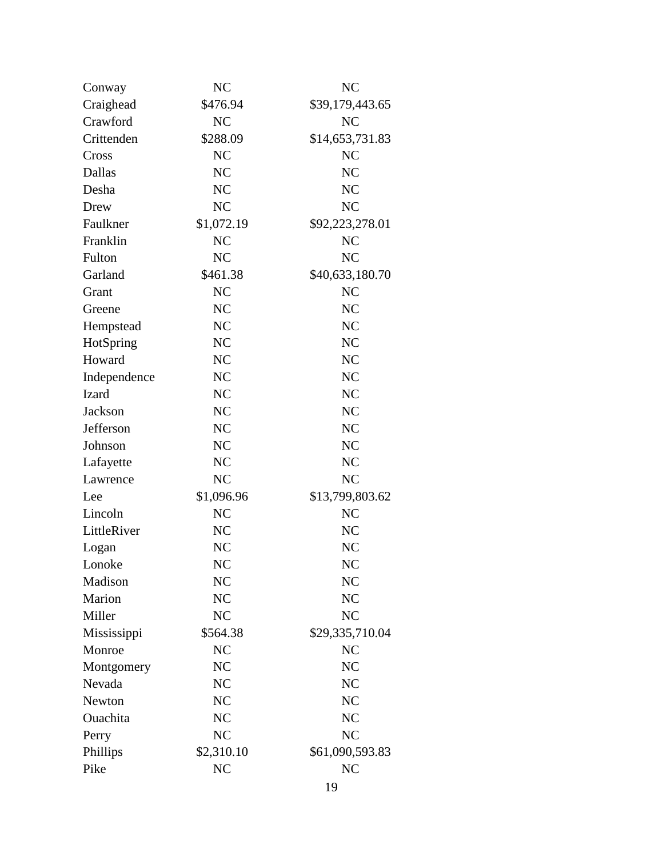| Conway       | N <sub>C</sub> | N <sub>C</sub>  |
|--------------|----------------|-----------------|
| Craighead    | \$476.94       | \$39,179,443.65 |
| Crawford     | NC             | NC              |
| Crittenden   | \$288.09       | \$14,653,731.83 |
| Cross        | NC             | NC              |
| Dallas       | NC             | N <sub>C</sub>  |
| Desha        | N <sub>C</sub> | N <sub>C</sub>  |
| Drew         | <b>NC</b>      | NC              |
| Faulkner     | \$1,072.19     | \$92,223,278.01 |
| Franklin     | NC             | NC              |
| Fulton       | NC             | NC              |
| Garland      | \$461.38       | \$40,633,180.70 |
| Grant        | NC             | N <sub>C</sub>  |
| Greene       | NC             | NC              |
| Hempstead    | NC             | N <sub>C</sub>  |
| HotSpring    | NC             | N <sub>C</sub>  |
| Howard       | NC             | NC              |
| Independence | NC             | NC              |
| Izard        | NC             | N <sub>C</sub>  |
| Jackson      | NC             | NC              |
| Jefferson    | NC             | NC              |
| Johnson      | NC             | N <sub>C</sub>  |
| Lafayette    | N <sub>C</sub> | NC              |
| Lawrence     | NC             | NC              |
| Lee          | \$1,096.96     | \$13,799,803.62 |
| Lincoln      | NC             | NC              |
| LittleRiver  | NC             | NC              |
| Logan        | NC             | NC              |
| Lonoke       | NC             | NC              |
| Madison      | NC             | NC              |
| Marion       | NC             | N <sub>C</sub>  |
| Miller       | NC             | NC              |
| Mississippi  | \$564.38       | \$29,335,710.04 |
| Monroe       | N <sub>C</sub> | NC              |
| Montgomery   | NC             | NC              |
| Nevada       | NC             | NC              |
| Newton       | NC             | N <sub>C</sub>  |
| Ouachita     | NC             | NC              |
| Perry        | NC             | NC              |
| Phillips     | \$2,310.10     | \$61,090,593.83 |
| Pike         | NC             | N <sub>C</sub>  |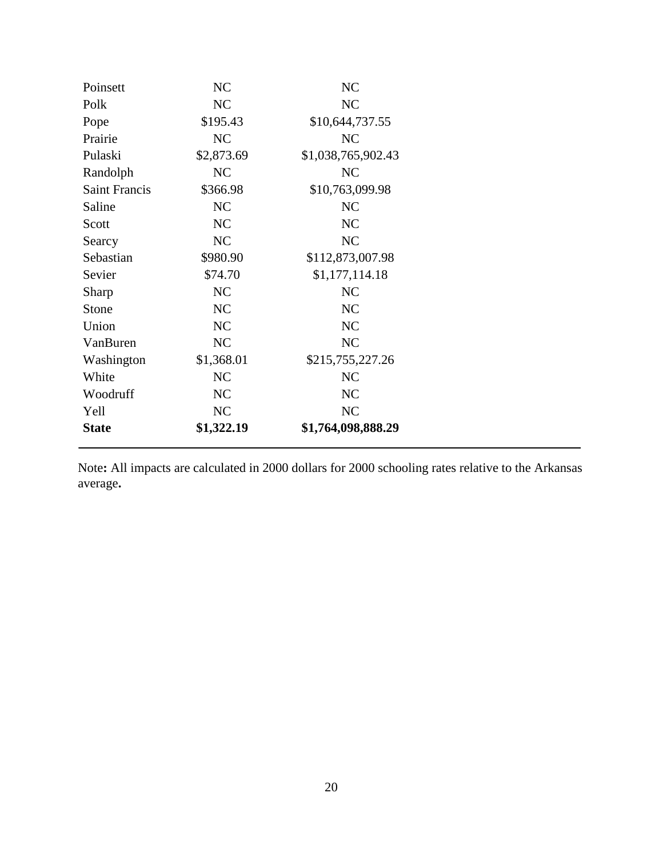| Poinsett             | NC         | NC                 |  |  |
|----------------------|------------|--------------------|--|--|
| Polk                 | NC         | NC                 |  |  |
| Pope                 | \$195.43   | \$10,644,737.55    |  |  |
| Prairie              | NC         | NC                 |  |  |
| Pulaski              | \$2,873.69 | \$1,038,765,902.43 |  |  |
| Randolph             | NC         | NC                 |  |  |
| <b>Saint Francis</b> | \$366.98   | \$10,763,099.98    |  |  |
| Saline               | NC         | NC                 |  |  |
| Scott                | NC         | NC                 |  |  |
| Searcy               | NC         | NC                 |  |  |
| Sebastian            | \$980.90   | \$112,873,007.98   |  |  |
| Sevier               | \$74.70    | \$1,177,114.18     |  |  |
| Sharp                | NC         | NC                 |  |  |
| Stone                | NC         | NC                 |  |  |
| Union                | NC         | NC                 |  |  |
| VanBuren             | NC         | NC                 |  |  |
| Washington           | \$1,368.01 | \$215,755,227.26   |  |  |
| White                | NC         | NC                 |  |  |
| Woodruff             | NC         | NC                 |  |  |
| Yell                 | NC         | NC                 |  |  |
| <b>State</b>         | \$1,322.19 | \$1,764,098,888.29 |  |  |

Note**:** All impacts are calculated in 2000 dollars for 2000 schooling rates relative to the Arkansas average**.**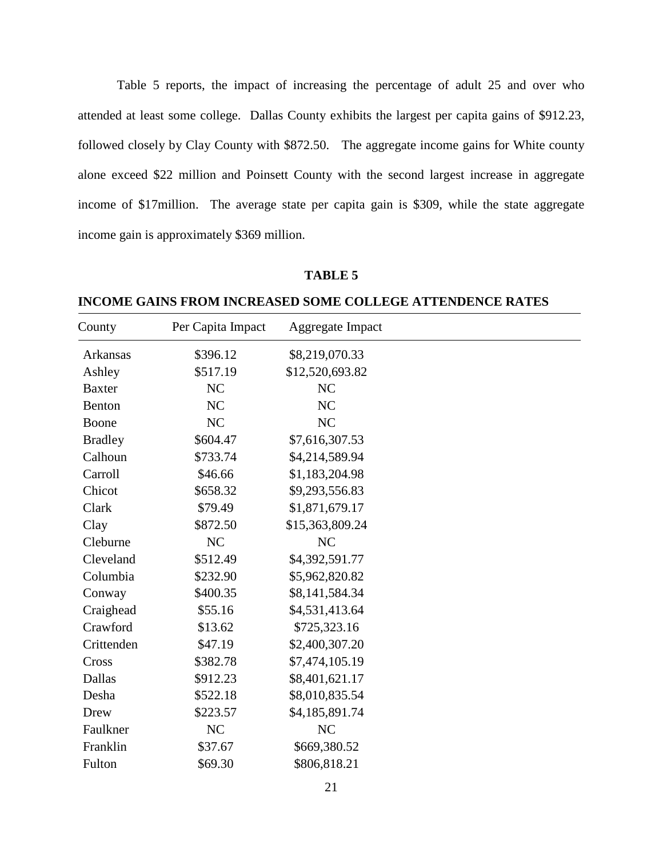Table 5 reports, the impact of increasing the percentage of adult 25 and over who attended at least some college. Dallas County exhibits the largest per capita gains of \$912.23, followed closely by Clay County with \$872.50. The aggregate income gains for White county alone exceed \$22 million and Poinsett County with the second largest increase in aggregate income of \$17million. The average state per capita gain is \$309, while the state aggregate income gain is approximately \$369 million.

#### **TABLE 5**

County Per Capita Impact Aggregate Impact Arkansas \$396.12 \$8,219,070.33 Ashley \$517.19 \$12,520,693.82 Baxter NC NC Benton NC NC Boone NC NC Bradley \$604.47 \$7,616,307.53 Calhoun \$733.74 \$4,214,589.94 Carroll \$46.66 \$1,183,204.98 Chicot \$658.32 \$9,293,556.83 Clark \$79.49 \$1,871,679.17 Clay \$872.50 \$15,363,809.24 Cleburne NC NC Cleveland  $$512.49$   $$4,392,591.77$ Columbia \$232.90 \$5,962,820.82 Conway \$400.35 \$8,141,584.34 Craighead  $$55.16$   $$4,531,413.64$ Crawford \$13.62 \$725,323.16 Crittenden \$47.19 \$2,400,307.20 Cross \$382.78 \$7,474,105.19 Dallas \$912.23 \$8,401,621.17 Desha \$522.18 \$8,010,835.54 Drew \$223.57 \$4,185,891.74 Faulkner NC NC Franklin \$37.67 \$669,380.52

**INCOME GAINS FROM INCREASED SOME COLLEGE ATTENDENCE RATES**

Fulton \$69.30 \$806,818.21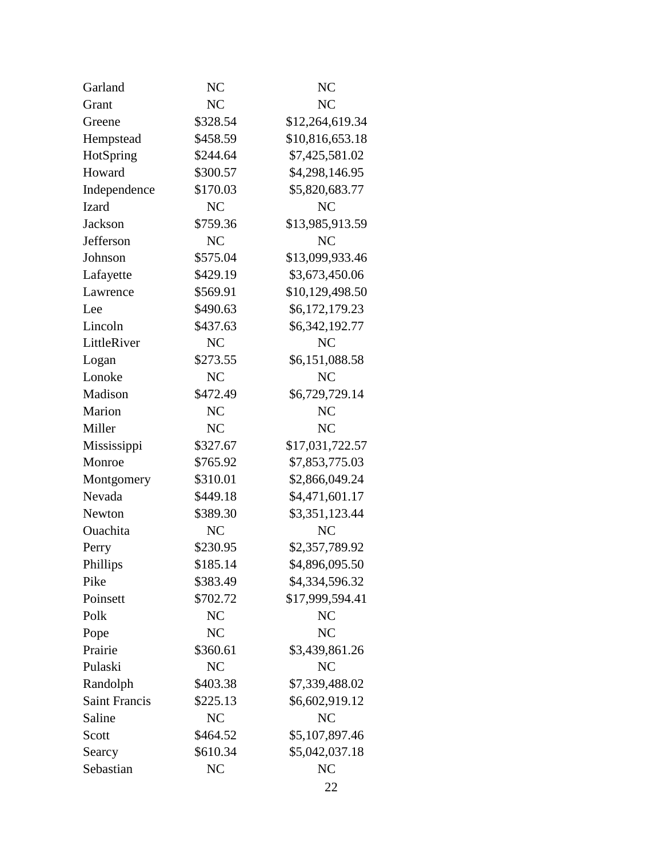| NC             | NC              |
|----------------|-----------------|
| NC             | NC              |
| \$328.54       | \$12,264,619.34 |
| \$458.59       | \$10,816,653.18 |
| \$244.64       | \$7,425,581.02  |
| \$300.57       | \$4,298,146.95  |
| \$170.03       | \$5,820,683.77  |
| NC             | NC              |
| \$759.36       | \$13,985,913.59 |
| N <sub>C</sub> | NC              |
| \$575.04       | \$13,099,933.46 |
| \$429.19       | \$3,673,450.06  |
| \$569.91       | \$10,129,498.50 |
| \$490.63       | \$6,172,179.23  |
| \$437.63       | \$6,342,192.77  |
| NC             | NC              |
| \$273.55       | \$6,151,088.58  |
| NC             | NC              |
| \$472.49       | \$6,729,729.14  |
| NC             | NC              |
| NC             | NC              |
| \$327.67       | \$17,031,722.57 |
| \$765.92       | \$7,853,775.03  |
| \$310.01       | \$2,866,049.24  |
| \$449.18       | \$4,471,601.17  |
| \$389.30       | \$3,351,123.44  |
| N <sub>C</sub> | NC              |
| \$230.95       | \$2,357,789.92  |
| \$185.14       | \$4,896,095.50  |
| \$383.49       | \$4,334,596.32  |
| \$702.72       | \$17,999,594.41 |
| NC             | NC              |
| NC             | <b>NC</b>       |
| \$360.61       | \$3,439,861.26  |
| NC             | NC              |
| \$403.38       | \$7,339,488.02  |
| \$225.13       | \$6,602,919.12  |
| NC             | NC              |
| \$464.52       | \$5,107,897.46  |
| \$610.34       | \$5,042,037.18  |
| NC             | NC              |
|                |                 |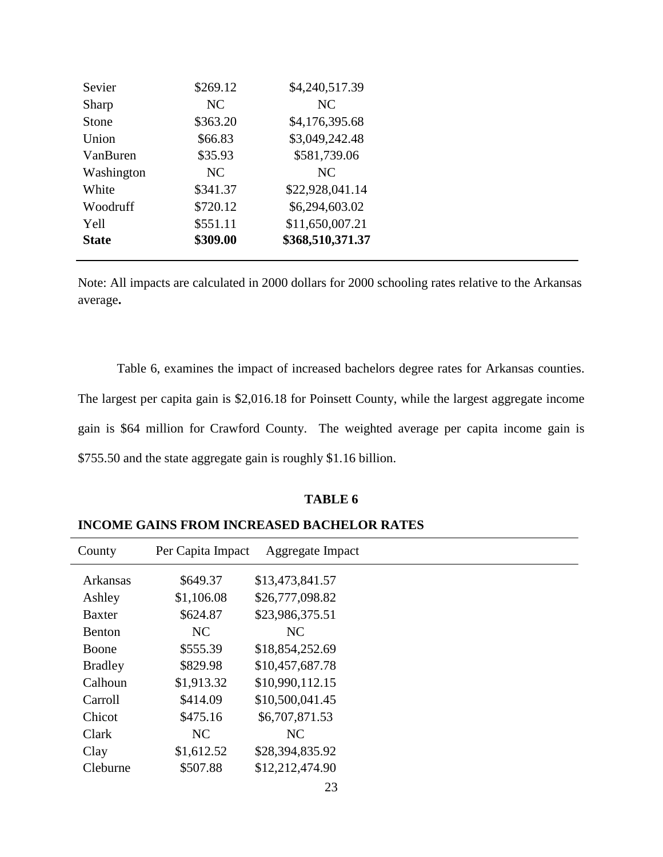| Sevier       | \$269.12       | \$4,240,517.39   |
|--------------|----------------|------------------|
| Sharp        | N <sub>C</sub> | NC               |
| Stone        | \$363.20       | \$4,176,395.68   |
| Union        | \$66.83        | \$3,049,242.48   |
| VanBuren     | \$35.93        | \$581,739.06     |
| Washington   | NC             | NC               |
| White        | \$341.37       | \$22,928,041.14  |
| Woodruff     | \$720.12       | \$6,294,603.02   |
| Yell         | \$551.11       | \$11,650,007.21  |
| <b>State</b> | \$309.00       | \$368,510,371.37 |
|              |                |                  |

Note: All impacts are calculated in 2000 dollars for 2000 schooling rates relative to the Arkansas average**.**

Table 6, examines the impact of increased bachelors degree rates for Arkansas counties. The largest per capita gain is \$2,016.18 for Poinsett County, while the largest aggregate income gain is \$64 million for Crawford County. The weighted average per capita income gain is \$755.50 and the state aggregate gain is roughly \$1.16 billion.

## **TABLE 6**

| County          | Per Capita Impact | Aggregate Impact |
|-----------------|-------------------|------------------|
| <b>Arkansas</b> | \$649.37          | \$13,473,841.57  |
| Ashley          | \$1,106.08        | \$26,777,098.82  |
| <b>Baxter</b>   | \$624.87          | \$23,986,375.51  |
| Benton          | NC                | NC               |
| <b>Boone</b>    | \$555.39          | \$18,854,252.69  |
| <b>Bradley</b>  | \$829.98          | \$10,457,687.78  |
| Calhoun         | \$1,913.32        | \$10,990,112.15  |
| Carroll         | \$414.09          | \$10,500,041.45  |
| Chicot          | \$475.16          | \$6,707,871.53   |
| Clark           | N <sub>C</sub>    | NC               |
| Clay            | \$1,612.52        | \$28,394,835.92  |
| Cleburne        | \$507.88          | \$12,212,474.90  |

**INCOME GAINS FROM INCREASED BACHELOR RATES**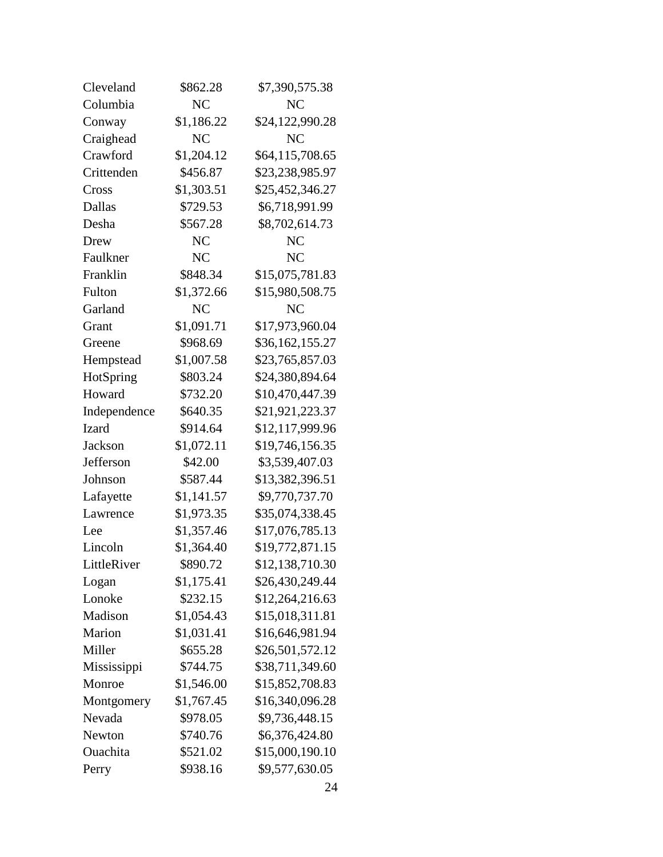| Cleveland    | \$862.28       | \$7,390,575.38  |  |  |
|--------------|----------------|-----------------|--|--|
| Columbia     | NC             | NC              |  |  |
| Conway       | \$1,186.22     | \$24,122,990.28 |  |  |
| Craighead    | N <sub>C</sub> | <b>NC</b>       |  |  |
| Crawford     | \$1,204.12     | \$64,115,708.65 |  |  |
| Crittenden   | \$456.87       | \$23,238,985.97 |  |  |
| Cross        | \$1,303.51     | \$25,452,346.27 |  |  |
| Dallas       | \$729.53       | \$6,718,991.99  |  |  |
| Desha        | \$567.28       | \$8,702,614.73  |  |  |
| Drew         | NC             | NC              |  |  |
| Faulkner     | NC             | <b>NC</b>       |  |  |
| Franklin     | \$848.34       | \$15,075,781.83 |  |  |
| Fulton       | \$1,372.66     | \$15,980,508.75 |  |  |
| Garland      | NC             | NC              |  |  |
| Grant        | \$1,091.71     | \$17,973,960.04 |  |  |
| Greene       | \$968.69       | \$36,162,155.27 |  |  |
| Hempstead    | \$1,007.58     | \$23,765,857.03 |  |  |
| HotSpring    | \$803.24       | \$24,380,894.64 |  |  |
| Howard       | \$732.20       | \$10,470,447.39 |  |  |
| Independence | \$640.35       | \$21,921,223.37 |  |  |
| <b>Izard</b> | \$914.64       | \$12,117,999.96 |  |  |
| Jackson      | \$1,072.11     | \$19,746,156.35 |  |  |
| Jefferson    | \$42.00        | \$3,539,407.03  |  |  |
| Johnson      | \$587.44       | \$13,382,396.51 |  |  |
| Lafayette    | \$1,141.57     | \$9,770,737.70  |  |  |
| Lawrence     | \$1,973.35     | \$35,074,338.45 |  |  |
| Lee          | \$1,357.46     | \$17,076,785.13 |  |  |
| Lincoln      | \$1,364.40     | \$19,772,871.15 |  |  |
| LittleRiver  | \$890.72       | \$12,138,710.30 |  |  |
| Logan        | \$1,175.41     | \$26,430,249.44 |  |  |
| Lonoke       | \$232.15       | \$12,264,216.63 |  |  |
| Madison      | \$1,054.43     | \$15,018,311.81 |  |  |
| Marion       | \$1,031.41     | \$16,646,981.94 |  |  |
| Miller       | \$655.28       | \$26,501,572.12 |  |  |
| Mississippi  | \$744.75       | \$38,711,349.60 |  |  |
| Monroe       | \$1,546.00     | \$15,852,708.83 |  |  |
| Montgomery   | \$1,767.45     | \$16,340,096.28 |  |  |
| Nevada       | \$978.05       | \$9,736,448.15  |  |  |
| Newton       | \$740.76       | \$6,376,424.80  |  |  |
| Ouachita     | \$521.02       | \$15,000,190.10 |  |  |
| Perry        | \$938.16       | \$9,577,630.05  |  |  |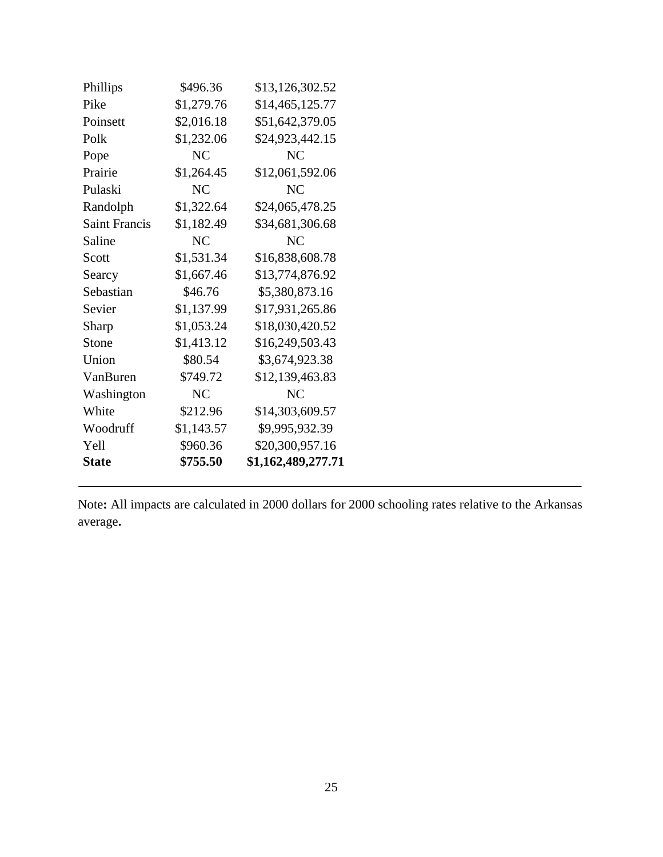| Phillips             | \$496.36   | \$13,126,302.52    |
|----------------------|------------|--------------------|
| Pike                 | \$1,279.76 | \$14,465,125.77    |
| Poinsett             | \$2,016.18 | \$51,642,379.05    |
| Polk                 | \$1,232.06 | \$24,923,442.15    |
| Pope                 | NC         | NC                 |
| Prairie              | \$1,264.45 | \$12,061,592.06    |
| Pulaski              | NC         | NC                 |
| Randolph             | \$1,322.64 | \$24,065,478.25    |
| <b>Saint Francis</b> | \$1,182.49 | \$34,681,306.68    |
| Saline               | NC         | NC                 |
| Scott                | \$1,531.34 | \$16,838,608.78    |
| Searcy               | \$1,667.46 | \$13,774,876.92    |
| Sebastian            | \$46.76    | \$5,380,873.16     |
| Sevier               | \$1,137.99 | \$17,931,265.86    |
| Sharp                | \$1,053.24 | \$18,030,420.52    |
| Stone                | \$1,413.12 | \$16,249,503.43    |
| Union                | \$80.54    | \$3,674,923.38     |
| VanBuren             | \$749.72   | \$12,139,463.83    |
| Washington           | NC         | N <sub>C</sub>     |
| White                | \$212.96   | \$14,303,609.57    |
| Woodruff             | \$1,143.57 | \$9,995,932.39     |
| Yell                 | \$960.36   | \$20,300,957.16    |
| <b>State</b>         | \$755.50   | \$1,162,489,277.71 |

Note**:** All impacts are calculated in 2000 dollars for 2000 schooling rates relative to the Arkansas average**.**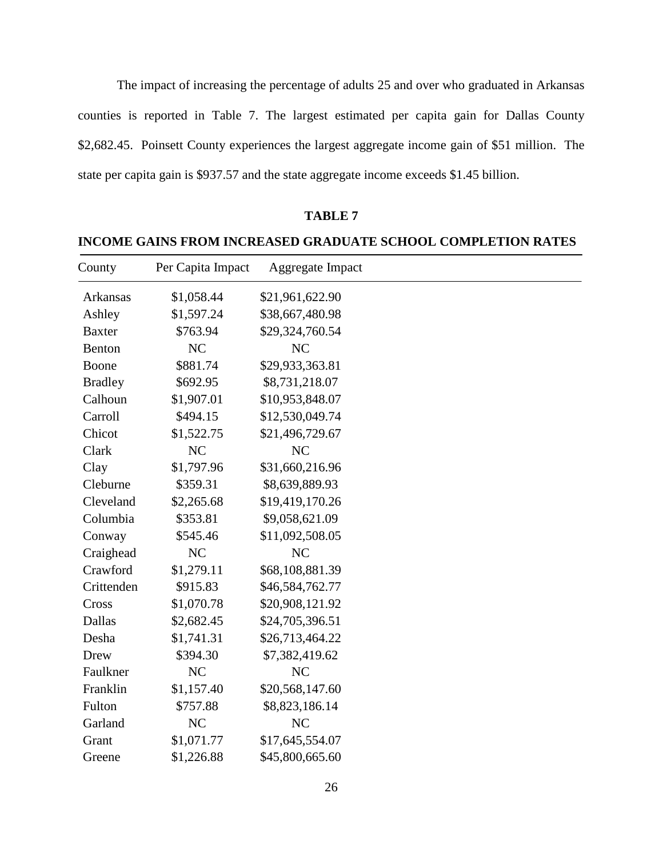The impact of increasing the percentage of adults 25 and over who graduated in Arkansas counties is reported in Table 7. The largest estimated per capita gain for Dallas County \$2,682.45. Poinsett County experiences the largest aggregate income gain of \$51 million. The state per capita gain is \$937.57 and the state aggregate income exceeds \$1.45 billion.

| County         | Per Capita Impact | Aggregate Impact |
|----------------|-------------------|------------------|
| Arkansas       | \$1,058.44        | \$21,961,622.90  |
| Ashley         | \$1,597.24        | \$38,667,480.98  |
| <b>Baxter</b>  | \$763.94          | \$29,324,760.54  |
| Benton         | NC                | NC               |
| Boone          | \$881.74          | \$29,933,363.81  |
| <b>Bradley</b> | \$692.95          | \$8,731,218.07   |
| Calhoun        | \$1,907.01        | \$10,953,848.07  |
| Carroll        | \$494.15          | \$12,530,049.74  |
| Chicot         | \$1,522.75        | \$21,496,729.67  |
| Clark          | NC                | NC               |
| Clay           | \$1,797.96        | \$31,660,216.96  |
| Cleburne       | \$359.31          | \$8,639,889.93   |
| Cleveland      | \$2,265.68        | \$19,419,170.26  |
| Columbia       | \$353.81          | \$9,058,621.09   |
| Conway         | \$545.46          | \$11,092,508.05  |
| Craighead      | NC                | NC               |
| Crawford       | \$1,279.11        | \$68,108,881.39  |
| Crittenden     | \$915.83          | \$46,584,762.77  |
| Cross          | \$1,070.78        | \$20,908,121.92  |
| Dallas         | \$2,682.45        | \$24,705,396.51  |
| Desha          | \$1,741.31        | \$26,713,464.22  |
| Drew           | \$394.30          | \$7,382,419.62   |
| Faulkner       | NC                | NC               |
| Franklin       | \$1,157.40        | \$20,568,147.60  |
| Fulton         | \$757.88          | \$8,823,186.14   |
| Garland        | NC                | NC               |
| Grant          | \$1,071.77        | \$17,645,554.07  |
| Greene         | \$1,226.88        | \$45,800,665.60  |

## **TABLE 7**

## **INCOME GAINS FROM INCREASED GRADUATE SCHOOL COMPLETION RATES**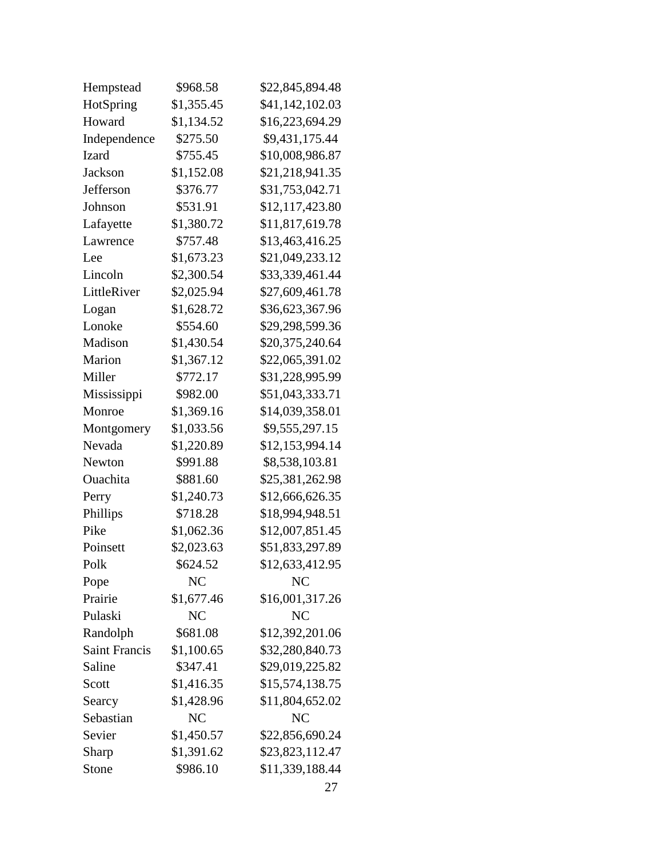| Hempstead            | \$968.58       | \$22,845,894.48 |
|----------------------|----------------|-----------------|
| HotSpring            | \$1,355.45     | \$41,142,102.03 |
| Howard               | \$1,134.52     | \$16,223,694.29 |
| Independence         | \$275.50       | \$9,431,175.44  |
| Izard                | \$755.45       | \$10,008,986.87 |
| Jackson              | \$1,152.08     | \$21,218,941.35 |
| Jefferson            | \$376.77       | \$31,753,042.71 |
| Johnson              | \$531.91       | \$12,117,423.80 |
| Lafayette            | \$1,380.72     | \$11,817,619.78 |
| Lawrence             | \$757.48       | \$13,463,416.25 |
| Lee                  | \$1,673.23     | \$21,049,233.12 |
| Lincoln              | \$2,300.54     | \$33,339,461.44 |
| LittleRiver          | \$2,025.94     | \$27,609,461.78 |
| Logan                | \$1,628.72     | \$36,623,367.96 |
| Lonoke               | \$554.60       | \$29,298,599.36 |
| Madison              | \$1,430.54     | \$20,375,240.64 |
| Marion               | \$1,367.12     | \$22,065,391.02 |
| Miller               | \$772.17       | \$31,228,995.99 |
| Mississippi          | \$982.00       | \$51,043,333.71 |
| Monroe               | \$1,369.16     | \$14,039,358.01 |
| Montgomery           | \$1,033.56     | \$9,555,297.15  |
| Nevada               | \$1,220.89     | \$12,153,994.14 |
| Newton               | \$991.88       | \$8,538,103.81  |
| Ouachita             | \$881.60       | \$25,381,262.98 |
| Perry                | \$1,240.73     | \$12,666,626.35 |
| Phillips             | \$718.28       | \$18,994,948.51 |
| Pike                 | \$1,062.36     | \$12,007,851.45 |
| Poinsett             | \$2,023.63     | \$51,833,297.89 |
| Polk                 | \$624.52       | \$12,633,412.95 |
| Pope                 | NC             | NC              |
| Prairie              | \$1,677.46     | \$16,001,317.26 |
| Pulaski              | N <sub>C</sub> | N <sub>C</sub>  |
| Randolph             | \$681.08       | \$12,392,201.06 |
| <b>Saint Francis</b> | \$1,100.65     | \$32,280,840.73 |
| Saline               | \$347.41       | \$29,019,225.82 |
| Scott                | \$1,416.35     | \$15,574,138.75 |
| Searcy               | \$1,428.96     | \$11,804,652.02 |
| Sebastian            | NC             | NC              |
| Sevier               | \$1,450.57     | \$22,856,690.24 |
| Sharp                | \$1,391.62     | \$23,823,112.47 |
| Stone                | \$986.10       | \$11,339,188.44 |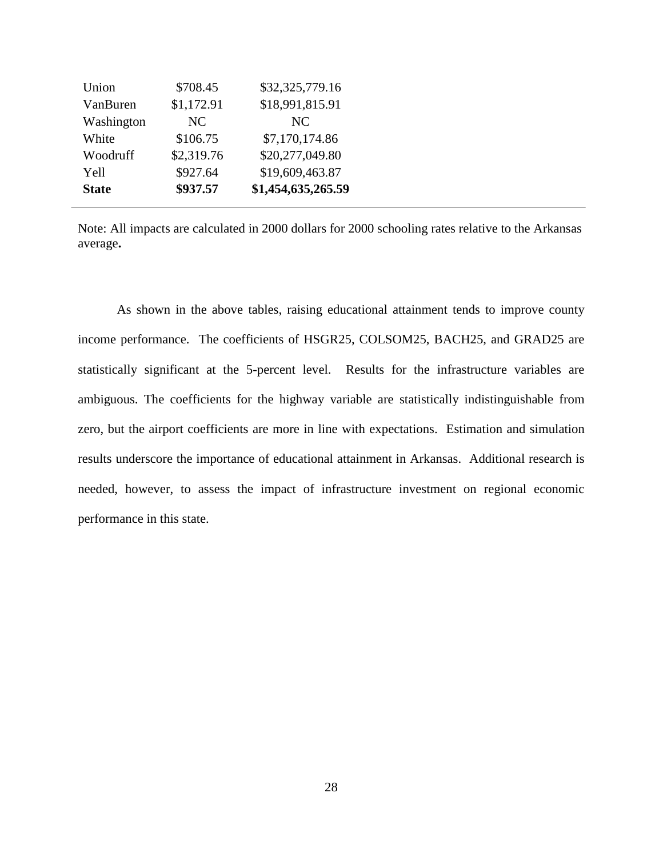| Union        | \$708.45   | \$32,325,779.16    |
|--------------|------------|--------------------|
| VanBuren     | \$1,172.91 | \$18,991,815.91    |
| Washington   | NC.        | <b>NC</b>          |
| White        | \$106.75   | \$7,170,174.86     |
| Woodruff     | \$2,319.76 | \$20,277,049.80    |
| Yell         | \$927.64   | \$19,609,463.87    |
| <b>State</b> | \$937.57   | \$1,454,635,265.59 |

Note: All impacts are calculated in 2000 dollars for 2000 schooling rates relative to the Arkansas average**.**

As shown in the above tables, raising educational attainment tends to improve county income performance. The coefficients of HSGR25, COLSOM25, BACH25, and GRAD25 are statistically significant at the 5-percent level. Results for the infrastructure variables are ambiguous. The coefficients for the highway variable are statistically indistinguishable from zero, but the airport coefficients are more in line with expectations. Estimation and simulation results underscore the importance of educational attainment in Arkansas. Additional research is needed, however, to assess the impact of infrastructure investment on regional economic performance in this state.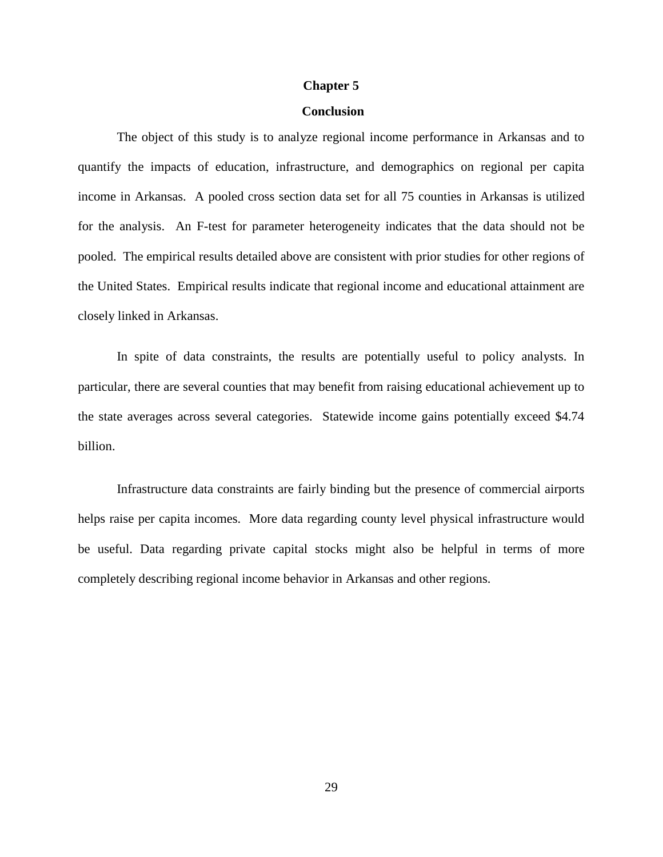#### **Chapter 5**

## **Conclusion**

The object of this study is to analyze regional income performance in Arkansas and to quantify the impacts of education, infrastructure, and demographics on regional per capita income in Arkansas. A pooled cross section data set for all 75 counties in Arkansas is utilized for the analysis. An F-test for parameter heterogeneity indicates that the data should not be pooled. The empirical results detailed above are consistent with prior studies for other regions of the United States. Empirical results indicate that regional income and educational attainment are closely linked in Arkansas.

In spite of data constraints, the results are potentially useful to policy analysts. In particular, there are several counties that may benefit from raising educational achievement up to the state averages across several categories. Statewide income gains potentially exceed \$4.74 billion.

Infrastructure data constraints are fairly binding but the presence of commercial airports helps raise per capita incomes. More data regarding county level physical infrastructure would be useful. Data regarding private capital stocks might also be helpful in terms of more completely describing regional income behavior in Arkansas and other regions.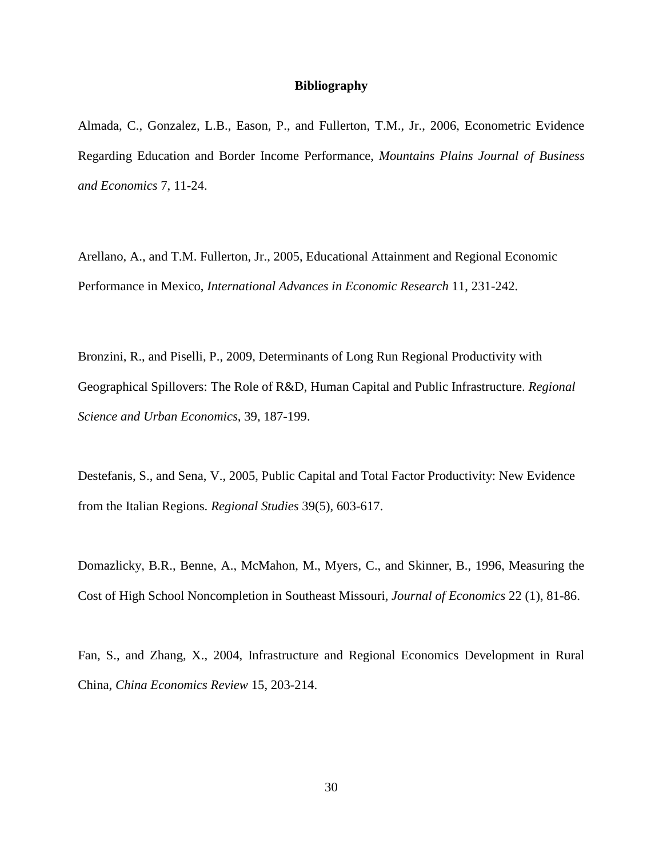#### **Bibliography**

Almada, C., Gonzalez, L.B., Eason, P., and Fullerton, T.M., Jr., 2006, Econometric Evidence Regarding Education and Border Income Performance, *Mountains Plains Journal of Business and Economics* 7, 11-24.

Arellano, A., and T.M. Fullerton, Jr., 2005, Educational Attainment and Regional Economic Performance in Mexico, *International Advances in Economic Research* 11, 231-242.

Bronzini, R., and Piselli, P., 2009, Determinants of Long Run Regional Productivity with Geographical Spillovers: The Role of R&D, Human Capital and Public Infrastructure. *Regional Science and Urban Economics,* 39, 187-199.

Destefanis, S., and Sena, V., 2005, Public Capital and Total Factor Productivity: New Evidence from the Italian Regions. *Regional Studies* 39(5), 603-617.

Domazlicky, B.R., Benne, A., McMahon, M., Myers, C., and Skinner, B., 1996, Measuring the Cost of High School Noncompletion in Southeast Missouri*, Journal of Economics* 22 (1), 81-86.

Fan, S., and Zhang, X., 2004, Infrastructure and Regional Economics Development in Rural China, *China Economics Review* 15, 203-214.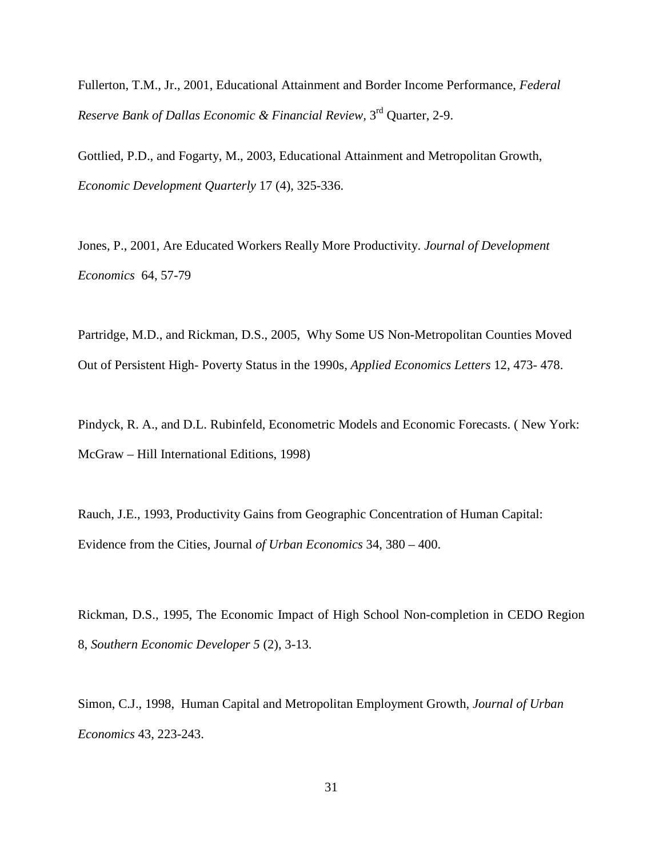Fullerton, T.M., Jr., 2001, Educational Attainment and Border Income Performance, *Federal Reserve Bank of Dallas Economic & Financial Review,* 3rd Quarter, 2-9.

Gottlied, P.D., and Fogarty, M., 2003, Educational Attainment and Metropolitan Growth, *Economic Development Quarterly* 17 (4), 325-336.

Jones, P., 2001, Are Educated Workers Really More Productivity. *Journal of Development Economics* 64, 57-79

Partridge, M.D., and Rickman, D.S., 2005, Why Some US Non-Metropolitan Counties Moved Out of Persistent High- Poverty Status in the 1990s, *Applied Economics Letters* 12, 473- 478.

Pindyck, R. A., and D.L. Rubinfeld, Econometric Models and Economic Forecasts. ( New York: McGraw – Hill International Editions, 1998)

Rauch, J.E., 1993, Productivity Gains from Geographic Concentration of Human Capital: Evidence from the Cities, Journal *of Urban Economics* 34, 380 – 400.

Rickman, D.S., 1995, The Economic Impact of High School Non-completion in CEDO Region 8, *Southern Economic Developer 5* (2), 3-13.

Simon, C.J., 1998, Human Capital and Metropolitan Employment Growth, *Journal of Urban Economics* 43, 223-243.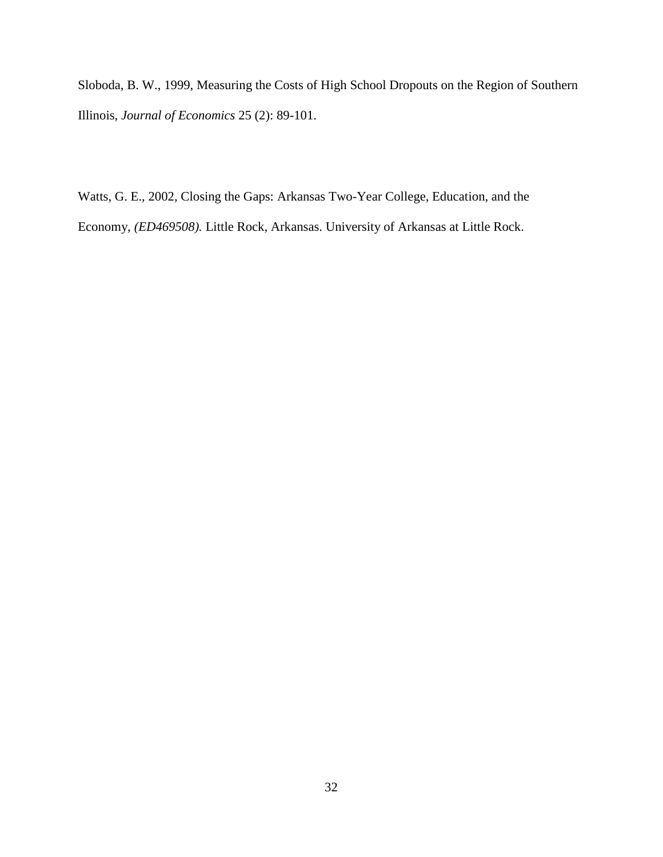Sloboda, B. W., 1999, Measuring the Costs of High School Dropouts on the Region of Southern Illinois, *Journal of Economics* 25 (2): 89-101.

Watts, G. E., 2002, Closing the Gaps: Arkansas Two-Year College, Education, and the Economy, *(ED469508).* Little Rock, Arkansas. University of Arkansas at Little Rock.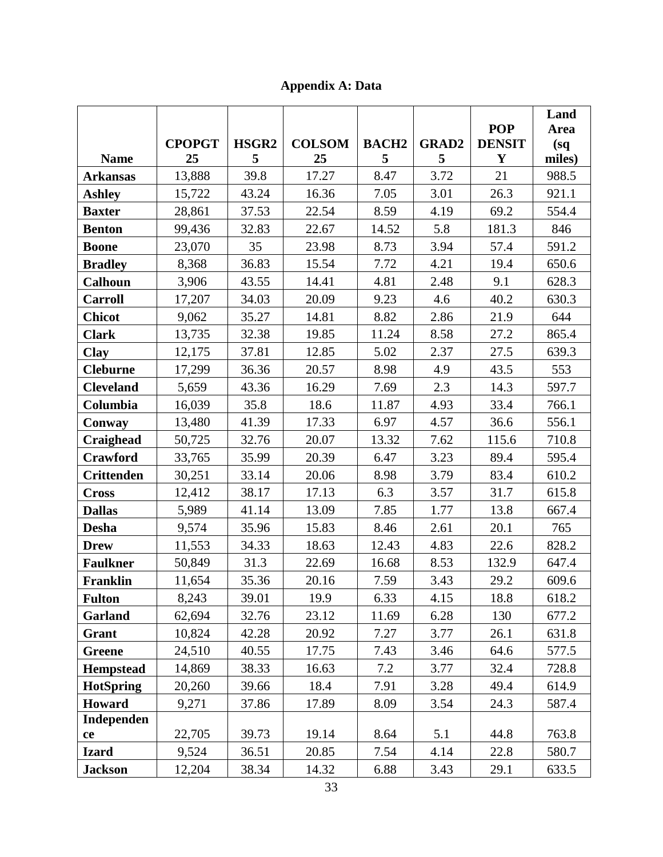**Appendix A: Data**

|                   |               |                   |               |              |              |               | Land        |
|-------------------|---------------|-------------------|---------------|--------------|--------------|---------------|-------------|
|                   |               |                   |               |              |              | <b>POP</b>    | <b>Area</b> |
|                   | <b>CPOPGT</b> | HSGR <sub>2</sub> | <b>COLSOM</b> | <b>BACH2</b> | <b>GRAD2</b> | <b>DENSIT</b> | (sq)        |
| <b>Name</b>       | 25            | 5                 | 25            | 5            | 5            | Y             | miles)      |
| <b>Arkansas</b>   | 13,888        | 39.8              | 17.27         | 8.47         | 3.72         | 21            | 988.5       |
| <b>Ashley</b>     | 15,722        | 43.24             | 16.36         | 7.05         | 3.01         | 26.3          | 921.1       |
| <b>Baxter</b>     | 28,861        | 37.53             | 22.54         | 8.59         | 4.19         | 69.2          | 554.4       |
| <b>Benton</b>     | 99,436        | 32.83             | 22.67         | 14.52        | 5.8          | 181.3         | 846         |
| <b>Boone</b>      | 23,070        | 35                | 23.98         | 8.73         | 3.94         | 57.4          | 591.2       |
| <b>Bradley</b>    | 8,368         | 36.83             | 15.54         | 7.72         | 4.21         | 19.4          | 650.6       |
| <b>Calhoun</b>    | 3,906         | 43.55             | 14.41         | 4.81         | 2.48         | 9.1           | 628.3       |
| <b>Carroll</b>    | 17,207        | 34.03             | 20.09         | 9.23         | 4.6          | 40.2          | 630.3       |
| <b>Chicot</b>     | 9,062         | 35.27             | 14.81         | 8.82         | 2.86         | 21.9          | 644         |
| <b>Clark</b>      | 13,735        | 32.38             | 19.85         | 11.24        | 8.58         | 27.2          | 865.4       |
| Clay              | 12,175        | 37.81             | 12.85         | 5.02         | 2.37         | 27.5          | 639.3       |
| <b>Cleburne</b>   | 17,299        | 36.36             | 20.57         | 8.98         | 4.9          | 43.5          | 553         |
| <b>Cleveland</b>  | 5,659         | 43.36             | 16.29         | 7.69         | 2.3          | 14.3          | 597.7       |
| Columbia          | 16,039        | 35.8              | 18.6          | 11.87        | 4.93         | 33.4          | 766.1       |
| Conway            | 13,480        | 41.39             | 17.33         | 6.97         | 4.57         | 36.6          | 556.1       |
| Craighead         | 50,725        | 32.76             | 20.07         | 13.32        | 7.62         | 115.6         | 710.8       |
| Crawford          | 33,765        | 35.99             | 20.39         | 6.47         | 3.23         | 89.4          | 595.4       |
| <b>Crittenden</b> | 30,251        | 33.14             | 20.06         | 8.98         | 3.79         | 83.4          | 610.2       |
| <b>Cross</b>      | 12,412        | 38.17             | 17.13         | 6.3          | 3.57         | 31.7          | 615.8       |
| <b>Dallas</b>     | 5,989         | 41.14             | 13.09         | 7.85         | 1.77         | 13.8          | 667.4       |
| <b>Desha</b>      | 9,574         | 35.96             | 15.83         | 8.46         | 2.61         | 20.1          | 765         |
| <b>Drew</b>       | 11,553        | 34.33             | 18.63         | 12.43        | 4.83         | 22.6          | 828.2       |
| <b>Faulkner</b>   | 50,849        | 31.3              | 22.69         | 16.68        | 8.53         | 132.9         | 647.4       |
| Franklin          | 11,654        | 35.36             | 20.16         | 7.59         | 3.43         | 29.2          | 609.6       |
| <b>Fulton</b>     | 8,243         | 39.01             | 19.9          | 6.33         | 4.15         | 18.8          | 618.2       |
| Garland           | 62,694        | 32.76             | 23.12         | 11.69        | 6.28         | 130           | 677.2       |
| Grant             | 10,824        | 42.28             | 20.92         | 7.27         | 3.77         | 26.1          | 631.8       |
| Greene            | 24,510        | 40.55             | 17.75         | 7.43         | 3.46         | 64.6          | 577.5       |
| <b>Hempstead</b>  | 14,869        | 38.33             | 16.63         | 7.2          | 3.77         | 32.4          | 728.8       |
| <b>HotSpring</b>  | 20,260        | 39.66             | 18.4          | 7.91         | 3.28         | 49.4          | 614.9       |
| Howard            | 9,271         | 37.86             | 17.89         | 8.09         | 3.54         | 24.3          | 587.4       |
| Independen        |               |                   |               |              |              |               |             |
| ce                | 22,705        | 39.73             | 19.14         | 8.64         | 5.1          | 44.8          | 763.8       |
| <b>Izard</b>      | 9,524         | 36.51             | 20.85         | 7.54         | 4.14         | 22.8          | 580.7       |
| <b>Jackson</b>    | 12,204        | 38.34             | 14.32         | 6.88         | 3.43         | 29.1          | 633.5       |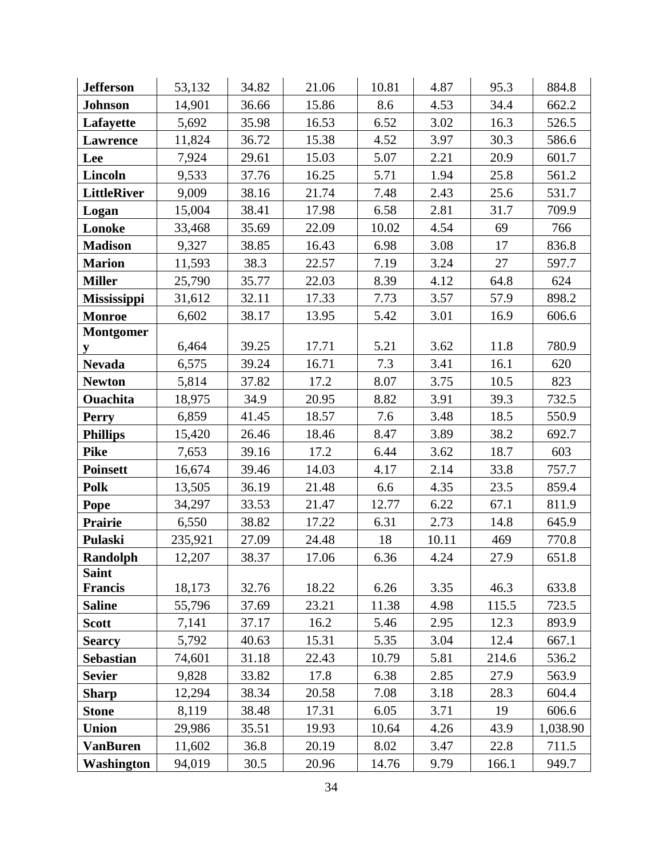| <b>Jefferson</b>                | 53,132  | 34.82 | 21.06 | 10.81 | 4.87  | 95.3  | 884.8    |
|---------------------------------|---------|-------|-------|-------|-------|-------|----------|
| <b>Johnson</b>                  | 14,901  | 36.66 | 15.86 | 8.6   | 4.53  | 34.4  | 662.2    |
| Lafayette                       | 5,692   | 35.98 | 16.53 | 6.52  | 3.02  | 16.3  | 526.5    |
| Lawrence                        | 11,824  | 36.72 | 15.38 | 4.52  | 3.97  | 30.3  | 586.6    |
| Lee                             | 7,924   | 29.61 | 15.03 | 5.07  | 2.21  | 20.9  | 601.7    |
| <b>Lincoln</b>                  | 9,533   | 37.76 | 16.25 | 5.71  | 1.94  | 25.8  | 561.2    |
| <b>LittleRiver</b>              | 9,009   | 38.16 | 21.74 | 7.48  | 2.43  | 25.6  | 531.7    |
| Logan                           | 15,004  | 38.41 | 17.98 | 6.58  | 2.81  | 31.7  | 709.9    |
| Lonoke                          | 33,468  | 35.69 | 22.09 | 10.02 | 4.54  | 69    | 766      |
| <b>Madison</b>                  | 9,327   | 38.85 | 16.43 | 6.98  | 3.08  | 17    | 836.8    |
| <b>Marion</b>                   | 11,593  | 38.3  | 22.57 | 7.19  | 3.24  | 27    | 597.7    |
| <b>Miller</b>                   | 25,790  | 35.77 | 22.03 | 8.39  | 4.12  | 64.8  | 624      |
| <b>Mississippi</b>              | 31,612  | 32.11 | 17.33 | 7.73  | 3.57  | 57.9  | 898.2    |
| <b>Monroe</b>                   | 6,602   | 38.17 | 13.95 | 5.42  | 3.01  | 16.9  | 606.6    |
| <b>Montgomer</b>                |         |       |       |       |       |       |          |
| y                               | 6,464   | 39.25 | 17.71 | 5.21  | 3.62  | 11.8  | 780.9    |
| <b>Nevada</b>                   | 6,575   | 39.24 | 16.71 | 7.3   | 3.41  | 16.1  | 620      |
| <b>Newton</b>                   | 5,814   | 37.82 | 17.2  | 8.07  | 3.75  | 10.5  | 823      |
| <b>Ouachita</b>                 | 18,975  | 34.9  | 20.95 | 8.82  | 3.91  | 39.3  | 732.5    |
| <b>Perry</b>                    | 6,859   | 41.45 | 18.57 | 7.6   | 3.48  | 18.5  | 550.9    |
| <b>Phillips</b>                 | 15,420  | 26.46 | 18.46 | 8.47  | 3.89  | 38.2  | 692.7    |
| <b>Pike</b>                     | 7,653   | 39.16 | 17.2  | 6.44  | 3.62  | 18.7  | 603      |
| <b>Poinsett</b>                 | 16,674  | 39.46 | 14.03 | 4.17  | 2.14  | 33.8  | 757.7    |
| Polk                            | 13,505  | 36.19 | 21.48 | 6.6   | 4.35  | 23.5  | 859.4    |
| Pope                            | 34,297  | 33.53 | 21.47 | 12.77 | 6.22  | 67.1  | 811.9    |
| Prairie                         | 6,550   | 38.82 | 17.22 | 6.31  | 2.73  | 14.8  | 645.9    |
| Pulaski                         | 235,921 | 27.09 | 24.48 | 18    | 10.11 | 469   | 770.8    |
| Randolph                        | 12,207  | 38.37 | 17.06 | 6.36  | 4.24  | 27.9  | 651.8    |
| <b>Saint</b>                    | 18,173  | 32.76 | 18.22 | 6.26  | 3.35  | 46.3  | 633.8    |
| <b>Francis</b><br><b>Saline</b> | 55,796  | 37.69 | 23.21 | 11.38 | 4.98  | 115.5 | 723.5    |
| <b>Scott</b>                    | 7,141   | 37.17 | 16.2  | 5.46  | 2.95  | 12.3  | 893.9    |
| <b>Searcy</b>                   | 5,792   | 40.63 | 15.31 | 5.35  | 3.04  | 12.4  | 667.1    |
| <b>Sebastian</b>                | 74,601  | 31.18 | 22.43 | 10.79 | 5.81  | 214.6 | 536.2    |
| <b>Sevier</b>                   | 9,828   | 33.82 | 17.8  | 6.38  | 2.85  | 27.9  | 563.9    |
| <b>Sharp</b>                    | 12,294  | 38.34 | 20.58 | 7.08  | 3.18  | 28.3  | 604.4    |
| <b>Stone</b>                    | 8,119   | 38.48 | 17.31 | 6.05  | 3.71  | 19    | 606.6    |
| Union                           | 29,986  | 35.51 | 19.93 | 10.64 | 4.26  | 43.9  | 1,038.90 |
| <b>VanBuren</b>                 | 11,602  | 36.8  | 20.19 | 8.02  | 3.47  | 22.8  | 711.5    |
| Washington                      | 94,019  | 30.5  | 20.96 | 14.76 | 9.79  | 166.1 | 949.7    |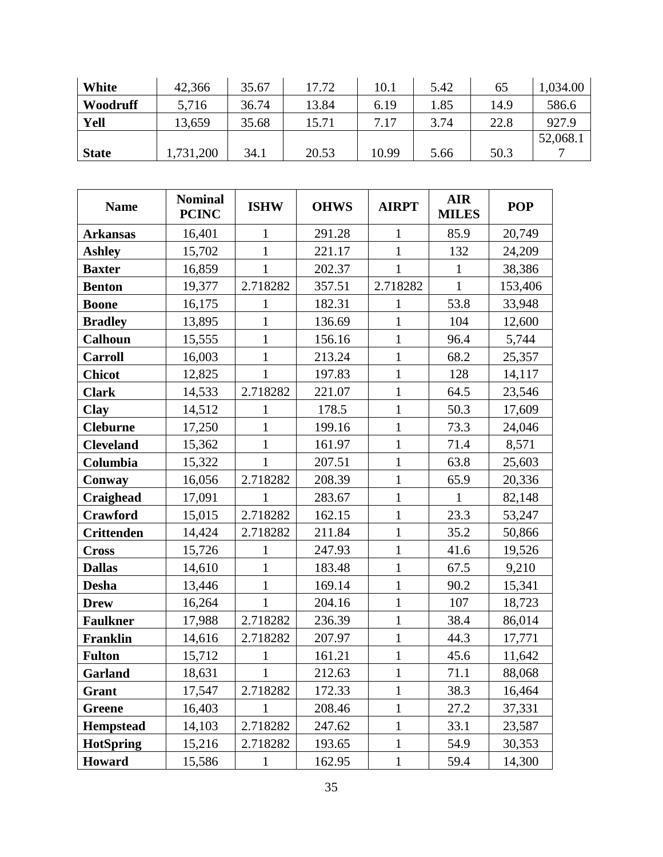| <b>White</b> | 42,366   | 35.67 | 17.72 | 10.1  | 5.42 | 65   | ,034.00  |
|--------------|----------|-------|-------|-------|------|------|----------|
| Woodruff     | 5,716    | 36.74 | 13.84 | 6.19  | 1.85 | 14.9 | 586.6    |
| Yell         | 13,659   | 35.68 | 15.71 | 7.17  | 3.74 | 22.8 | 927.9    |
|              |          |       |       |       |      |      | 52,068.1 |
| <b>State</b> | ,731,200 | 34.1  | 20.53 | 10.99 | 5.66 | 50.3 |          |

| <b>Name</b>       | <b>Nominal</b><br><b>PCINC</b> | <b>ISHW</b>  | <b>OHWS</b> | <b>AIRPT</b> | <b>AIR</b><br><b>MILES</b> | <b>POP</b> |
|-------------------|--------------------------------|--------------|-------------|--------------|----------------------------|------------|
| <b>Arkansas</b>   | 16,401                         | 1            | 291.28      | 1            | 85.9                       | 20,749     |
| <b>Ashley</b>     | 15,702                         | 1            | 221.17      | 1            | 132                        | 24,209     |
| <b>Baxter</b>     | 16,859                         | $\mathbf{1}$ | 202.37      | 1            | 1                          | 38,386     |
| <b>Benton</b>     | 19,377                         | 2.718282     | 357.51      | 2.718282     | $\mathbf{1}$               | 153,406    |
| <b>Boone</b>      | 16,175                         | 1            | 182.31      | 1            | 53.8                       | 33,948     |
| <b>Bradley</b>    | 13,895                         | $\mathbf{1}$ | 136.69      | $\mathbf{1}$ | 104                        | 12,600     |
| <b>Calhoun</b>    | 15,555                         | 1            | 156.16      | 1            | 96.4                       | 5,744      |
| <b>Carroll</b>    | 16,003                         | $\mathbf{1}$ | 213.24      | $\mathbf{1}$ | 68.2                       | 25,357     |
| <b>Chicot</b>     | 12,825                         | $\mathbf{1}$ | 197.83      | $\mathbf{1}$ | 128                        | 14,117     |
| <b>Clark</b>      | 14,533                         | 2.718282     | 221.07      | $\mathbf{1}$ | 64.5                       | 23,546     |
| <b>Clay</b>       | 14,512                         | 1            | 178.5       | $\mathbf{1}$ | 50.3                       | 17,609     |
| <b>Cleburne</b>   | 17,250                         | $\mathbf{1}$ | 199.16      | $\mathbf{1}$ | 73.3                       | 24,046     |
| <b>Cleveland</b>  | 15,362                         | $\mathbf{1}$ | 161.97      | $\mathbf{1}$ | 71.4                       | 8,571      |
| Columbia          | 15,322                         | 1            | 207.51      | 1            | 63.8                       | 25,603     |
| Conway            | 16,056                         | 2.718282     | 208.39      | $\mathbf{1}$ | 65.9                       | 20,336     |
| Craighead         | 17,091                         | $\mathbf{1}$ | 283.67      | $\mathbf{1}$ | $\mathbf{1}$               | 82,148     |
| Crawford          | 15,015                         | 2.718282     | 162.15      | $\mathbf{1}$ | 23.3                       | 53,247     |
| <b>Crittenden</b> | 14,424                         | 2.718282     | 211.84      | $\mathbf{1}$ | 35.2                       | 50,866     |
| <b>Cross</b>      | 15,726                         | 1            | 247.93      | $\mathbf{1}$ | 41.6                       | 19,526     |
| <b>Dallas</b>     | 14,610                         | 1            | 183.48      | $\mathbf{1}$ | 67.5                       | 9,210      |
| <b>Desha</b>      | 13,446                         | 1            | 169.14      | $\mathbf{1}$ | 90.2                       | 15,341     |
| <b>Drew</b>       | 16,264                         | $\mathbf{1}$ | 204.16      | $\mathbf{1}$ | 107                        | 18,723     |
| <b>Faulkner</b>   | 17,988                         | 2.718282     | 236.39      | $\mathbf{1}$ | 38.4                       | 86,014     |
| <b>Franklin</b>   | 14,616                         | 2.718282     | 207.97      | $\mathbf{1}$ | 44.3                       | 17,771     |
| <b>Fulton</b>     | 15,712                         |              | 161.21      | 1            | 45.6                       | 11,642     |
| Garland           | 18,631                         | $\mathbf{1}$ | 212.63      | $\mathbf{1}$ | 71.1                       | 88,068     |
| Grant             | 17,547                         | 2.718282     | 172.33      | 1            | 38.3                       | 16,464     |
| <b>Greene</b>     | 16,403                         |              | 208.46      | $\mathbf{1}$ | 27.2                       | 37,331     |
| <b>Hempstead</b>  | 14,103                         | 2.718282     | 247.62      | $\mathbf{1}$ | 33.1                       | 23,587     |
| <b>HotSpring</b>  | 15,216                         | 2.718282     | 193.65      | $\mathbf{1}$ | 54.9                       | 30,353     |
| Howard            | 15,586                         |              | 162.95      | $\mathbf{1}$ | 59.4                       | 14,300     |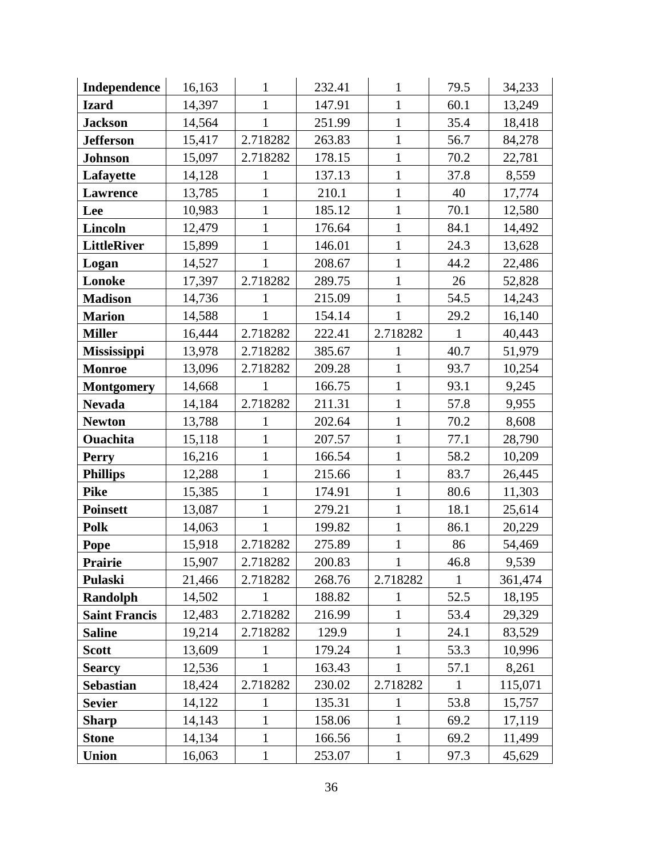| Independence         | 16,163 | $\mathbf{1}$ | 232.41 | $\mathbf{1}$ | 79.5         | 34,233  |
|----------------------|--------|--------------|--------|--------------|--------------|---------|
| <b>Izard</b>         | 14,397 | 1            | 147.91 | $\mathbf{1}$ | 60.1         | 13,249  |
| <b>Jackson</b>       | 14,564 | $\mathbf{1}$ | 251.99 | $\mathbf{1}$ | 35.4         | 18,418  |
| <b>Jefferson</b>     | 15,417 | 2.718282     | 263.83 | $\mathbf{1}$ | 56.7         | 84,278  |
| <b>Johnson</b>       | 15,097 | 2.718282     | 178.15 | $\mathbf{1}$ | 70.2         | 22,781  |
| Lafayette            | 14,128 | 1            | 137.13 | $\mathbf{1}$ | 37.8         | 8,559   |
| Lawrence             | 13,785 | $\mathbf{1}$ | 210.1  | $\mathbf{1}$ | 40           | 17,774  |
| Lee                  | 10,983 | $\mathbf{1}$ | 185.12 | $\mathbf{1}$ | 70.1         | 12,580  |
| <b>Lincoln</b>       | 12,479 | 1            | 176.64 | $\mathbf{1}$ | 84.1         | 14,492  |
| <b>LittleRiver</b>   | 15,899 | $\mathbf{1}$ | 146.01 | $\mathbf{1}$ | 24.3         | 13,628  |
| Logan                | 14,527 | $\mathbf{1}$ | 208.67 | $\mathbf{1}$ | 44.2         | 22,486  |
| Lonoke               | 17,397 | 2.718282     | 289.75 | $\mathbf{1}$ | 26           | 52,828  |
| <b>Madison</b>       | 14,736 | 1            | 215.09 | $\mathbf{1}$ | 54.5         | 14,243  |
| <b>Marion</b>        | 14,588 | $\mathbf{1}$ | 154.14 | $\mathbf{1}$ | 29.2         | 16,140  |
| <b>Miller</b>        | 16,444 | 2.718282     | 222.41 | 2.718282     | $\mathbf{1}$ | 40,443  |
| <b>Mississippi</b>   | 13,978 | 2.718282     | 385.67 | $\mathbf{1}$ | 40.7         | 51,979  |
| <b>Monroe</b>        | 13,096 | 2.718282     | 209.28 | $\mathbf{1}$ | 93.7         | 10,254  |
| <b>Montgomery</b>    | 14,668 | 1            | 166.75 | $\mathbf{1}$ | 93.1         | 9,245   |
| <b>Nevada</b>        | 14,184 | 2.718282     | 211.31 | $\mathbf{1}$ | 57.8         | 9,955   |
| <b>Newton</b>        | 13,788 |              | 202.64 | $\mathbf{1}$ | 70.2         | 8,608   |
| <b>Ouachita</b>      | 15,118 | 1            | 207.57 | $\mathbf{1}$ | 77.1         | 28,790  |
| <b>Perry</b>         | 16,216 | $\mathbf{1}$ | 166.54 | $\mathbf{1}$ | 58.2         | 10,209  |
| <b>Phillips</b>      | 12,288 | $\mathbf{1}$ | 215.66 | $\mathbf{1}$ | 83.7         | 26,445  |
| <b>Pike</b>          | 15,385 | $\mathbf{1}$ | 174.91 | $\mathbf{1}$ | 80.6         | 11,303  |
| <b>Poinsett</b>      | 13,087 | $\mathbf{1}$ | 279.21 | $\mathbf{1}$ | 18.1         | 25,614  |
| <b>Polk</b>          | 14,063 | $\mathbf{1}$ | 199.82 | $\mathbf{1}$ | 86.1         | 20,229  |
| Pope                 | 15,918 | 2.718282     | 275.89 | $\mathbf{1}$ | 86           | 54,469  |
| Prairie              | 15,907 | 2.718282     | 200.83 | $\mathbf{1}$ | 46.8         | 9,539   |
| Pulaski              | 21,466 | 2.718282     | 268.76 | 2.718282     | 1            | 361,474 |
| Randolph             | 14,502 |              | 188.82 | 1            | 52.5         | 18,195  |
| <b>Saint Francis</b> | 12,483 | 2.718282     | 216.99 | $\mathbf{1}$ | 53.4         | 29,329  |
| <b>Saline</b>        | 19,214 | 2.718282     | 129.9  | 1            | 24.1         | 83,529  |
| <b>Scott</b>         | 13,609 | 1            | 179.24 | 1            | 53.3         | 10,996  |
| <b>Searcy</b>        | 12,536 | 1            | 163.43 | 1            | 57.1         | 8,261   |
| <b>Sebastian</b>     | 18,424 | 2.718282     | 230.02 | 2.718282     | $\mathbf{1}$ | 115,071 |
| <b>Sevier</b>        | 14,122 | 1            | 135.31 | 1            | 53.8         | 15,757  |
| <b>Sharp</b>         | 14,143 | $\mathbf{1}$ | 158.06 | $\mathbf{1}$ | 69.2         | 17,119  |
| <b>Stone</b>         | 14,134 | $\mathbf{1}$ | 166.56 | $\mathbf{1}$ | 69.2         | 11,499  |
| Union                | 16,063 | $\mathbf{1}$ | 253.07 | $\mathbf{1}$ | 97.3         | 45,629  |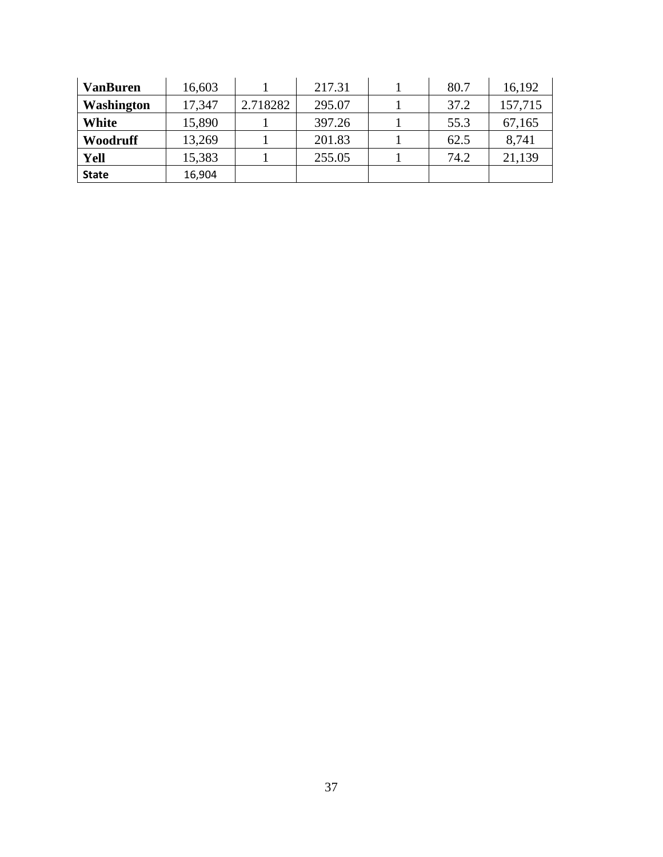| <b>VanBuren</b> | 16,603 |          | 217.31 | 80.7 | 16,192  |
|-----------------|--------|----------|--------|------|---------|
| Washington      | 17,347 | 2.718282 | 295.07 | 37.2 | 157,715 |
| White           | 15,890 |          | 397.26 | 55.3 | 67,165  |
| Woodruff        | 13,269 |          | 201.83 | 62.5 | 8,741   |
| Yell            | 15,383 |          | 255.05 | 74.2 | 21,139  |
| <b>State</b>    | 16,904 |          |        |      |         |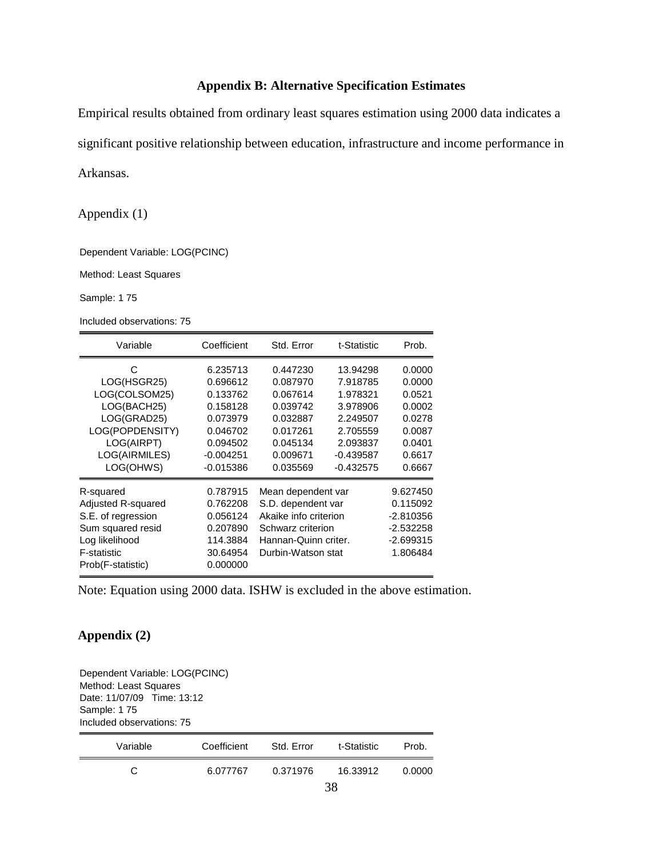## **Appendix B: Alternative Specification Estimates**

Empirical results obtained from ordinary least squares estimation using 2000 data indicates a significant positive relationship between education, infrastructure and income performance in

Arkansas.

Appendix (1)

Dependent Variable: LOG(PCINC)

Method: Least Squares

Sample: 1 75

Included observations: 75

| Variable                                                                                                                         | Coefficient                                                                                                    | Std. Error                                                                                                                           | t-Statistic                                                                                                    | Prob.                                                                                  |
|----------------------------------------------------------------------------------------------------------------------------------|----------------------------------------------------------------------------------------------------------------|--------------------------------------------------------------------------------------------------------------------------------------|----------------------------------------------------------------------------------------------------------------|----------------------------------------------------------------------------------------|
| C<br>LOG(HSGR25)<br>LOG(COLSOM25)<br>LOG(BACH25)<br>LOG(GRAD25)<br>LOG(POPDENSITY)<br>LOG(AIRPT)<br>LOG(AIRMILES)<br>LOG(OHWS)   | 6.235713<br>0.696612<br>0.133762<br>0.158128<br>0.073979<br>0.046702<br>0.094502<br>$-0.004251$<br>$-0.015386$ | 0.447230<br>0.087970<br>0.067614<br>0.039742<br>0.032887<br>0.017261<br>0.045134<br>0.009671<br>0.035569                             | 13.94298<br>7.918785<br>1.978321<br>3.978906<br>2.249507<br>2.705559<br>2.093837<br>$-0.439587$<br>$-0.432575$ | 0.0000<br>0.0000<br>0.0521<br>0.0002<br>0.0278<br>0.0087<br>0.0401<br>0.6617<br>0.6667 |
| R-squared<br>Adjusted R-squared<br>S.E. of regression<br>Sum squared resid<br>Log likelihood<br>F-statistic<br>Prob(F-statistic) | 0.787915<br>0.762208<br>0.056124<br>0.207890<br>114.3884<br>30.64954<br>0.000000                               | Mean dependent var<br>S.D. dependent var<br>Akaike info criterion<br>Schwarz criterion<br>Hannan-Quinn criter.<br>Durbin-Watson stat |                                                                                                                | 9.627450<br>0.115092<br>-2.810356<br>-2.532258<br>-2.699315<br>1.806484                |

Note: Equation using 2000 data. ISHW is excluded in the above estimation.

## **Appendix (2)**

Dependent Variable: LOG(PCINC) Method: Least Squares Date: 11/07/09 Time: 13:12 Sample: 1 75 Included observations: 75

| Variable | Coefficient | Std. Error | t-Statistic | Prob.  |
|----------|-------------|------------|-------------|--------|
| C        | 6.077767    | 0.371976   | 16.33912    | 0.0000 |
|          |             |            | 38          |        |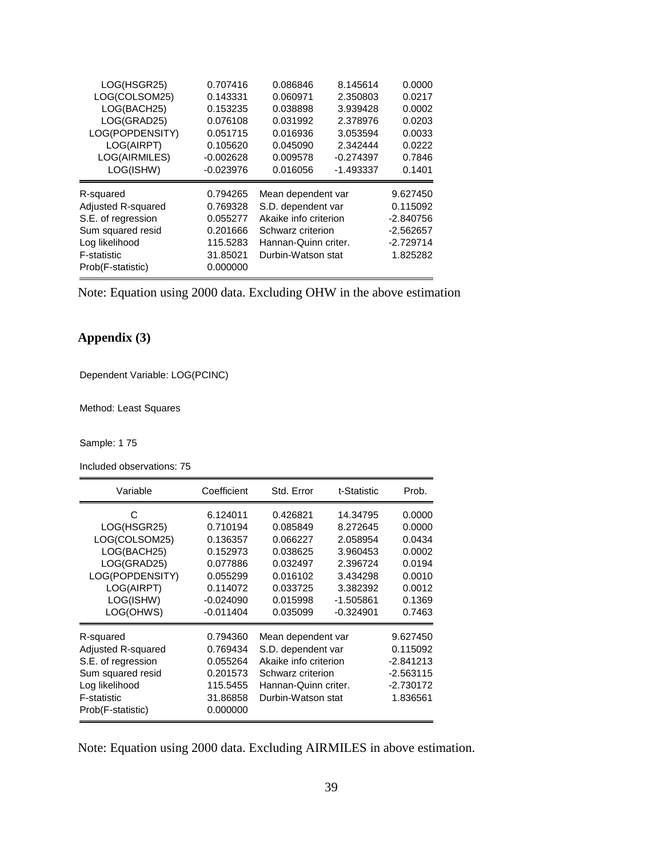| LOG(HSGR25)               | 0.707416    | 0.086846              | 8.145614    | 0.0000      |
|---------------------------|-------------|-----------------------|-------------|-------------|
| LOG(COLSOM25)             | 0.143331    | 0.060971              | 2.350803    | 0.0217      |
| LOG(BACH25)               | 0.153235    | 0.038898              | 3.939428    | 0.0002      |
| LOG(GRAD25)               | 0.076108    | 0.031992              | 2.378976    | 0.0203      |
| LOG(POPDENSITY)           | 0.051715    | 0.016936              | 3.053594    | 0.0033      |
| LOG(AIRPT)                | 0.105620    | 0.045090              | 2.342444    | 0.0222      |
| LOG(AIRMILES)             | $-0.002628$ | 0.009578              | $-0.274397$ | 0.7846      |
| LOG(ISHW)                 | $-0.023976$ | 0.016056              | $-1.493337$ | 0.1401      |
| R-squared                 | 0.794265    | Mean dependent var    |             | 9.627450    |
| <b>Adjusted R-squared</b> | 0.769328    | S.D. dependent var    |             | 0.115092    |
| S.E. of regression        | 0.055277    | Akaike info criterion |             | $-2.840756$ |
| Sum squared resid         | 0.201666    | Schwarz criterion     |             | $-2.562657$ |
| Log likelihood            | 115.5283    | Hannan-Quinn criter.  |             | $-2.729714$ |
| F-statistic               | 31.85021    | Durbin-Watson stat    |             | 1.825282    |
| Prob(F-statistic)         | 0.000000    |                       |             |             |
|                           |             |                       |             |             |

Note: Equation using 2000 data. Excluding OHW in the above estimation

# **Appendix (3)**

Dependent Variable: LOG(PCINC)

Method: Least Squares

Sample: 1 75

Included observations: 75

| Variable                   | Coefficient | Std. Error            | t-Statistic | Prob.       |
|----------------------------|-------------|-----------------------|-------------|-------------|
| C                          | 6.124011    | 0.426821              | 14.34795    | 0.0000      |
| LOG(HSGR25)                | 0.710194    | 0.085849              | 8.272645    | 0.0000      |
| LOG(COLSOM25)              | 0.136357    | 0.066227              | 2.058954    | 0.0434      |
| LOG(BACH25)                | 0.152973    | 0.038625              | 3.960453    | 0.0002      |
| LOG(GRAD25)                | 0.077886    | 0.032497              | 2.396724    | 0.0194      |
| LOG(POPDENSITY)            | 0.055299    | 0.016102              | 3.434298    | 0.0010      |
| LOG(AIRPT)                 | 0.114072    | 0.033725              | 3.382392    | 0.0012      |
| LOG(ISHW)                  | $-0.024090$ | 0.015998              | -1.505861   | 0.1369      |
| LOG(OHWS)                  | $-0.011404$ | 0.035099              | $-0.324901$ | 0.7463      |
| R-squared                  | 0.794360    | Mean dependent var    |             | 9.627450    |
| Adjusted R-squared         | 0.769434    | S.D. dependent var    |             | 0.115092    |
| S.E. of regression         | 0.055264    | Akaike info criterion |             | $-2.841213$ |
| Sum squared resid          | 0.201573    | Schwarz criterion     |             | $-2.563115$ |
| Log likelihood<br>115.5455 |             | Hannan-Quinn criter.  |             | $-2.730172$ |
| F-statistic                | 31.86858    | Durbin-Watson stat    |             | 1.836561    |
| Prob(F-statistic)          | 0.000000    |                       |             |             |

Note: Equation using 2000 data. Excluding AIRMILES in above estimation.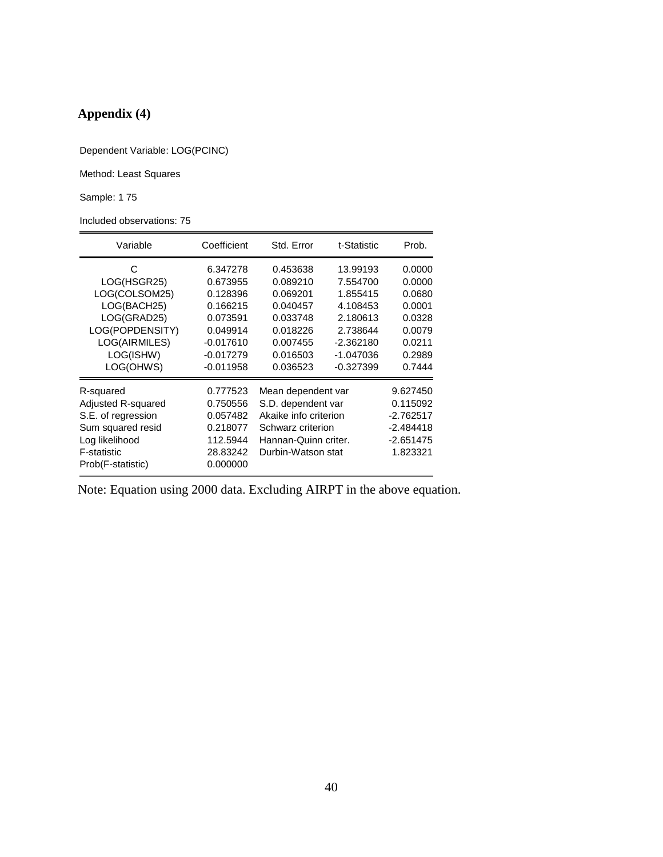# **Appendix (4)**

Dependent Variable: LOG(PCINC)

Method: Least Squares

Sample: 1 75

Included observations: 75

| Variable                                                                                                                         | Coefficient                                                                                                       | Std. Error                                                                                                                           | t-Statistic                                                                                                     | Prob.                                                                                  |
|----------------------------------------------------------------------------------------------------------------------------------|-------------------------------------------------------------------------------------------------------------------|--------------------------------------------------------------------------------------------------------------------------------------|-----------------------------------------------------------------------------------------------------------------|----------------------------------------------------------------------------------------|
| C<br>LOG(HSGR25)<br>LOG(COLSOM25)<br>LOG(BACH25)<br>LOG(GRAD25)<br>LOG(POPDENSITY)<br>LOG(AIRMILES)<br>LOG(ISHW)<br>LOG(OHWS)    | 6.347278<br>0.673955<br>0.128396<br>0.166215<br>0.073591<br>0.049914<br>$-0.017610$<br>$-0.017279$<br>$-0.011958$ | 0.453638<br>0.089210<br>0.069201<br>0.040457<br>0.033748<br>0.018226<br>0.007455<br>0.016503<br>0.036523                             | 13.99193<br>7.554700<br>1.855415<br>4.108453<br>2.180613<br>2.738644<br>$-2.362180$<br>-1.047036<br>$-0.327399$ | 0.0000<br>0.0000<br>0.0680<br>0.0001<br>0.0328<br>0.0079<br>0.0211<br>0.2989<br>0.7444 |
| R-squared<br>Adjusted R-squared<br>S.E. of regression<br>Sum squared resid<br>Log likelihood<br>F-statistic<br>Prob(F-statistic) | 0.777523<br>0.750556<br>0.057482<br>0.218077<br>112.5944<br>28.83242<br>0.000000                                  | Mean dependent var<br>S.D. dependent var<br>Akaike info criterion<br>Schwarz criterion<br>Hannan-Quinn criter.<br>Durbin-Watson stat |                                                                                                                 | 9.627450<br>0.115092<br>$-2.762517$<br>$-2.484418$<br>-2.651475<br>1.823321            |

Note: Equation using 2000 data. Excluding AIRPT in the above equation.